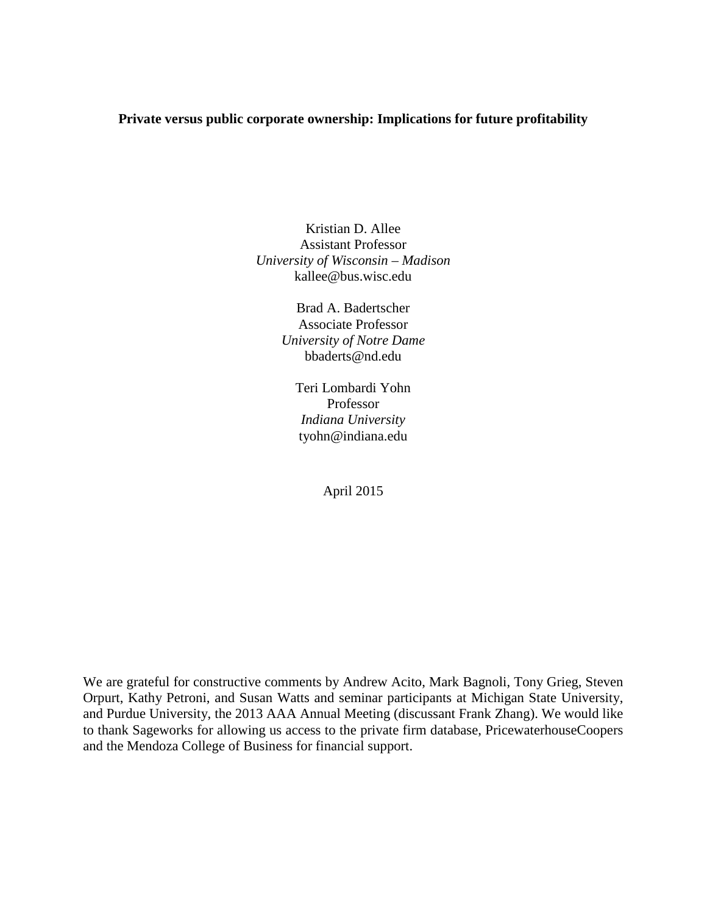### **Private versus public corporate ownership: Implications for future profitability**

Kristian D. Allee Assistant Professor *University of Wisconsin – Madison*  kallee@bus.wisc.edu

> Brad A. Badertscher Associate Professor *University of Notre Dame* bbaderts@nd.edu

Teri Lombardi Yohn Professor *Indiana University* tyohn@indiana.edu

April 2015

We are grateful for constructive comments by Andrew Acito, Mark Bagnoli, Tony Grieg, Steven Orpurt, Kathy Petroni, and Susan Watts and seminar participants at Michigan State University, and Purdue University, the 2013 AAA Annual Meeting (discussant Frank Zhang). We would like to thank Sageworks for allowing us access to the private firm database, PricewaterhouseCoopers and the Mendoza College of Business for financial support.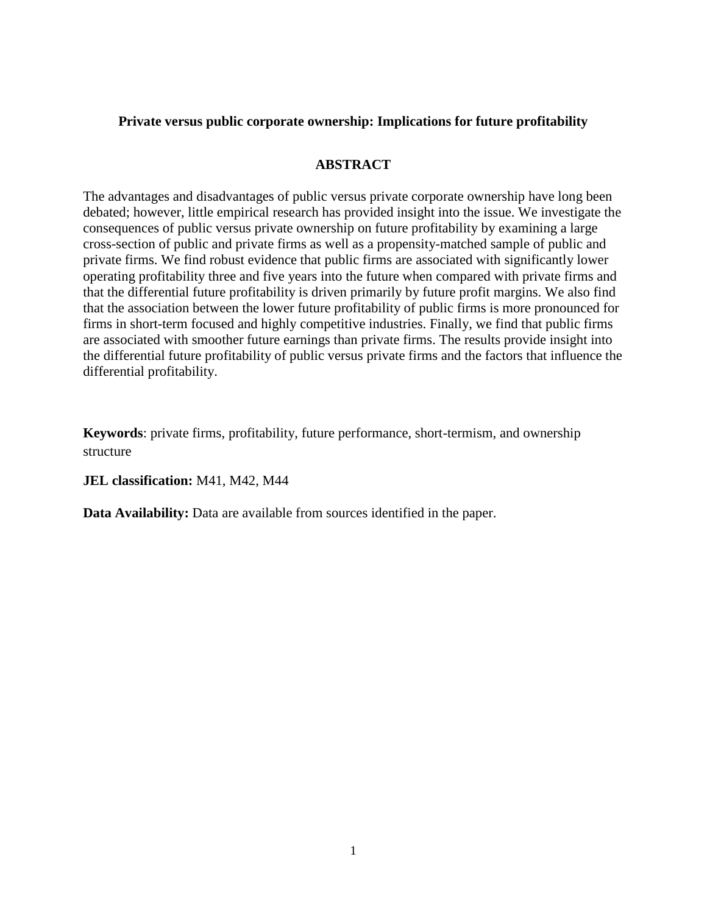### **Private versus public corporate ownership: Implications for future profitability**

# **ABSTRACT**

The advantages and disadvantages of public versus private corporate ownership have long been debated; however, little empirical research has provided insight into the issue. We investigate the consequences of public versus private ownership on future profitability by examining a large cross-section of public and private firms as well as a propensity-matched sample of public and private firms. We find robust evidence that public firms are associated with significantly lower operating profitability three and five years into the future when compared with private firms and that the differential future profitability is driven primarily by future profit margins. We also find that the association between the lower future profitability of public firms is more pronounced for firms in short-term focused and highly competitive industries. Finally, we find that public firms are associated with smoother future earnings than private firms. The results provide insight into the differential future profitability of public versus private firms and the factors that influence the differential profitability.

**Keywords**: private firms, profitability, future performance, short-termism, and ownership structure

**JEL classification:** M41, M42, M44

**Data Availability:** Data are available from sources identified in the paper.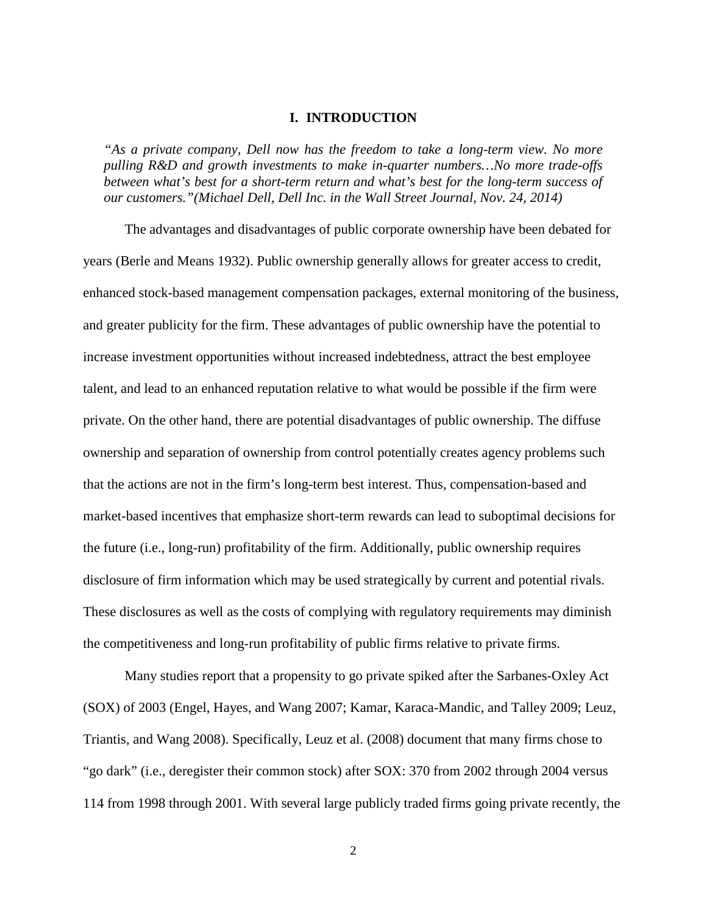#### **I. INTRODUCTION**

*"As a private company, Dell now has the freedom to take a long-term view. No more pulling R&D and growth investments to make in-quarter numbers…No more trade-offs between what's best for a short-term return and what's best for the long-term success of our customers."(Michael Dell, Dell Inc. in the Wall Street Journal, Nov. 24, 2014)*

The advantages and disadvantages of public corporate ownership have been debated for years (Berle and Means 1932). Public ownership generally allows for greater access to credit, enhanced stock-based management compensation packages, external monitoring of the business, and greater publicity for the firm. These advantages of public ownership have the potential to increase investment opportunities without increased indebtedness, attract the best employee talent, and lead to an enhanced reputation relative to what would be possible if the firm were private. On the other hand, there are potential disadvantages of public ownership. The diffuse ownership and separation of ownership from control potentially creates agency problems such that the actions are not in the firm's long-term best interest. Thus, compensation-based and market-based incentives that emphasize short-term rewards can lead to suboptimal decisions for the future (i.e., long-run) profitability of the firm. Additionally, public ownership requires disclosure of firm information which may be used strategically by current and potential rivals. These disclosures as well as the costs of complying with regulatory requirements may diminish the competitiveness and long-run profitability of public firms relative to private firms.

Many studies report that a propensity to go private spiked after the Sarbanes-Oxley Act (SOX) of 2003 (Engel, Hayes, and Wang 2007; Kamar, Karaca-Mandic, and Talley 2009; Leuz, Triantis, and Wang 2008). Specifically, Leuz et al. (2008) document that many firms chose to "go dark" (i.e., deregister their common stock) after SOX: 370 from 2002 through 2004 versus 114 from 1998 through 2001. With several large publicly traded firms going private recently, the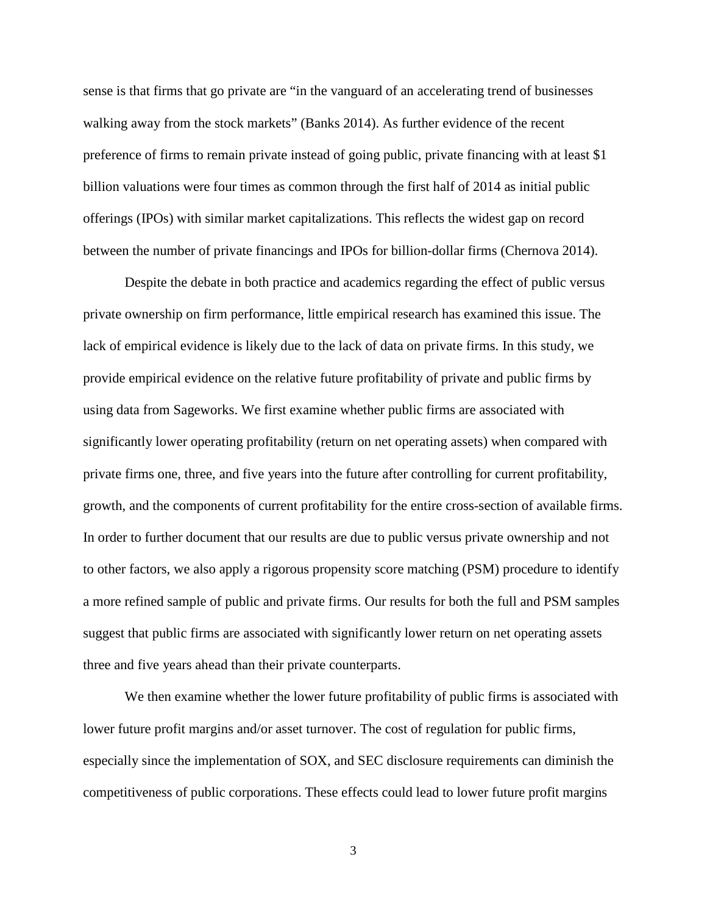sense is that firms that go private are "in the vanguard of an accelerating trend of businesses walking away from the stock markets" (Banks 2014). As further evidence of the recent preference of firms to remain private instead of going public, private financing with at least \$1 billion valuations were four times as common through the first half of 2014 as initial public offerings (IPOs) with similar market capitalizations. This reflects the widest gap on record between the number of private financings and IPOs for billion-dollar firms (Chernova 2014).

Despite the debate in both practice and academics regarding the effect of public versus private ownership on firm performance, little empirical research has examined this issue. The lack of empirical evidence is likely due to the lack of data on private firms. In this study, we provide empirical evidence on the relative future profitability of private and public firms by using data from Sageworks. We first examine whether public firms are associated with significantly lower operating profitability (return on net operating assets) when compared with private firms one, three, and five years into the future after controlling for current profitability, growth, and the components of current profitability for the entire cross-section of available firms. In order to further document that our results are due to public versus private ownership and not to other factors, we also apply a rigorous propensity score matching (PSM) procedure to identify a more refined sample of public and private firms. Our results for both the full and PSM samples suggest that public firms are associated with significantly lower return on net operating assets three and five years ahead than their private counterparts.

We then examine whether the lower future profitability of public firms is associated with lower future profit margins and/or asset turnover. The cost of regulation for public firms, especially since the implementation of SOX, and SEC disclosure requirements can diminish the competitiveness of public corporations. These effects could lead to lower future profit margins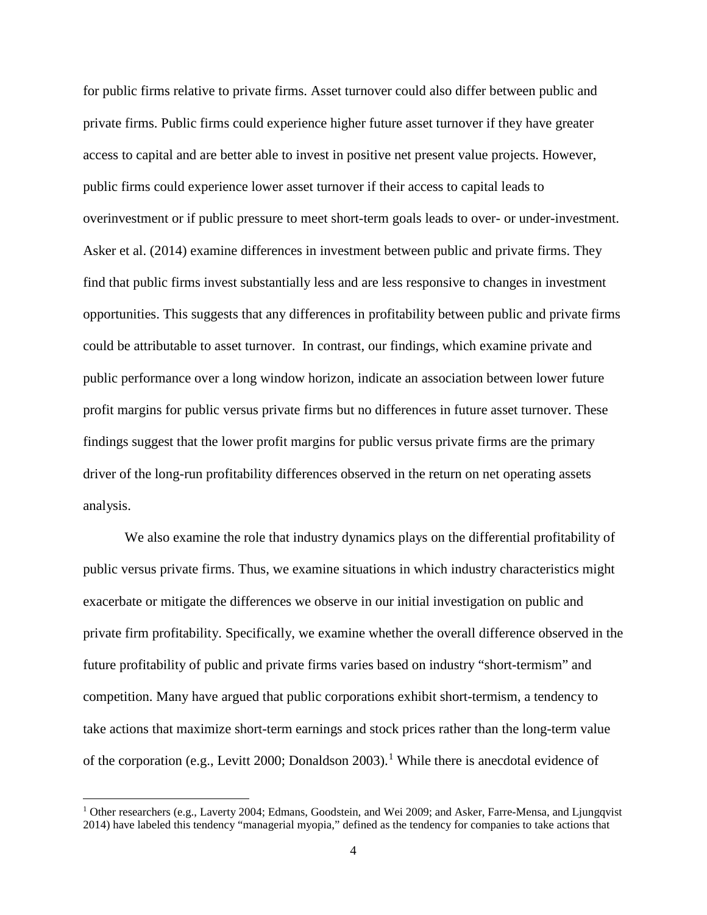for public firms relative to private firms. Asset turnover could also differ between public and private firms. Public firms could experience higher future asset turnover if they have greater access to capital and are better able to invest in positive net present value projects. However, public firms could experience lower asset turnover if their access to capital leads to overinvestment or if public pressure to meet short-term goals leads to over- or under-investment. Asker et al. (2014) examine differences in investment between public and private firms. They find that public firms invest substantially less and are less responsive to changes in investment opportunities. This suggests that any differences in profitability between public and private firms could be attributable to asset turnover. In contrast, our findings, which examine private and public performance over a long window horizon, indicate an association between lower future profit margins for public versus private firms but no differences in future asset turnover. These findings suggest that the lower profit margins for public versus private firms are the primary driver of the long-run profitability differences observed in the return on net operating assets analysis.

We also examine the role that industry dynamics plays on the differential profitability of public versus private firms. Thus, we examine situations in which industry characteristics might exacerbate or mitigate the differences we observe in our initial investigation on public and private firm profitability. Specifically, we examine whether the overall difference observed in the future profitability of public and private firms varies based on industry "short-termism" and competition. Many have argued that public corporations exhibit short-termism, a tendency to take actions that maximize short-term earnings and stock prices rather than the long-term value of the corporation (e.g., Levitt 2000; Donaldson 2003).<sup>[1](#page-4-0)</sup> While there is anecdotal evidence of

l

<span id="page-4-0"></span><sup>&</sup>lt;sup>1</sup> Other researchers (e.g., Laverty 2004; Edmans, Goodstein, and Wei 2009; and Asker, Farre-Mensa, and Ljungqvist 2014) have labeled this tendency "managerial myopia," defined as the tendency for companies to take actions that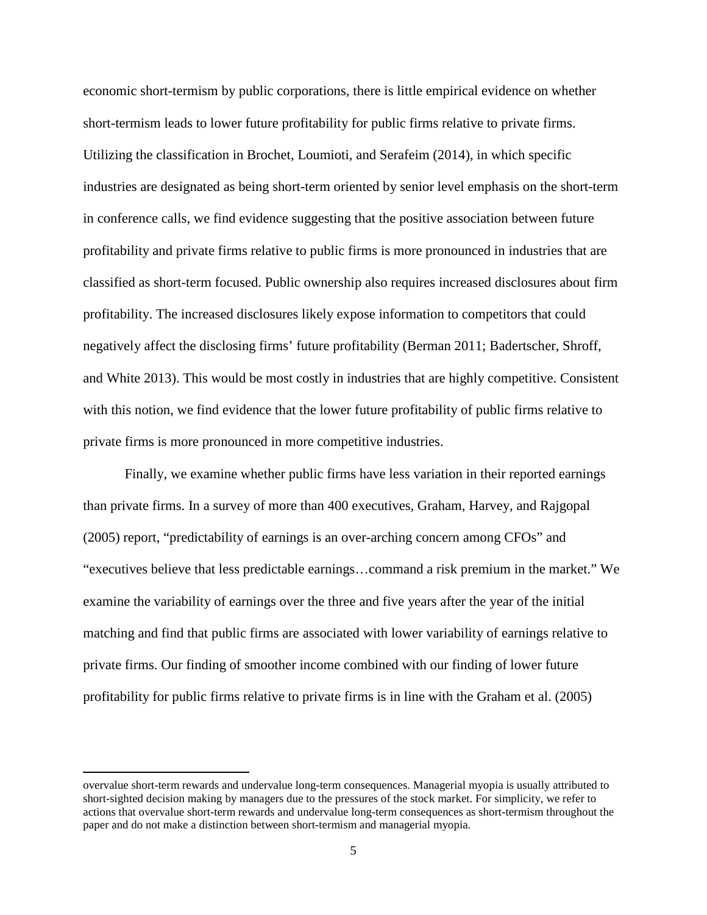economic short-termism by public corporations, there is little empirical evidence on whether short-termism leads to lower future profitability for public firms relative to private firms. Utilizing the classification in Brochet, Loumioti, and Serafeim (2014), in which specific industries are designated as being short-term oriented by senior level emphasis on the short-term in conference calls, we find evidence suggesting that the positive association between future profitability and private firms relative to public firms is more pronounced in industries that are classified as short-term focused. Public ownership also requires increased disclosures about firm profitability. The increased disclosures likely expose information to competitors that could negatively affect the disclosing firms' future profitability (Berman 2011; Badertscher, Shroff, and White 2013). This would be most costly in industries that are highly competitive. Consistent with this notion, we find evidence that the lower future profitability of public firms relative to private firms is more pronounced in more competitive industries.

Finally, we examine whether public firms have less variation in their reported earnings than private firms. In a survey of more than 400 executives, Graham, Harvey, and Rajgopal (2005) report, "predictability of earnings is an over-arching concern among CFOs" and "executives believe that less predictable earnings…command a risk premium in the market." We examine the variability of earnings over the three and five years after the year of the initial matching and find that public firms are associated with lower variability of earnings relative to private firms. Our finding of smoother income combined with our finding of lower future profitability for public firms relative to private firms is in line with the Graham et al. (2005)

l

overvalue short-term rewards and undervalue long-term consequences. Managerial myopia is usually attributed to short-sighted decision making by managers due to the pressures of the stock market. For simplicity, we refer to actions that overvalue short-term rewards and undervalue long-term consequences as short-termism throughout the paper and do not make a distinction between short-termism and managerial myopia.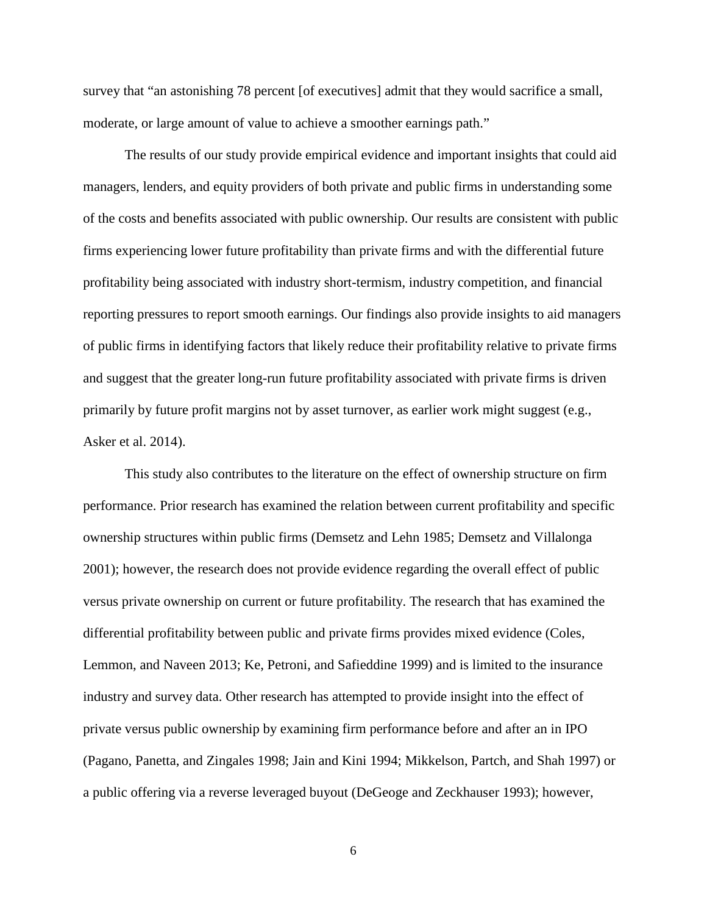survey that "an astonishing 78 percent [of executives] admit that they would sacrifice a small, moderate, or large amount of value to achieve a smoother earnings path."

The results of our study provide empirical evidence and important insights that could aid managers, lenders, and equity providers of both private and public firms in understanding some of the costs and benefits associated with public ownership. Our results are consistent with public firms experiencing lower future profitability than private firms and with the differential future profitability being associated with industry short-termism, industry competition, and financial reporting pressures to report smooth earnings. Our findings also provide insights to aid managers of public firms in identifying factors that likely reduce their profitability relative to private firms and suggest that the greater long-run future profitability associated with private firms is driven primarily by future profit margins not by asset turnover, as earlier work might suggest (e.g., Asker et al. 2014).

This study also contributes to the literature on the effect of ownership structure on firm performance. Prior research has examined the relation between current profitability and specific ownership structures within public firms (Demsetz and Lehn 1985; Demsetz and Villalonga 2001); however, the research does not provide evidence regarding the overall effect of public versus private ownership on current or future profitability. The research that has examined the differential profitability between public and private firms provides mixed evidence (Coles, Lemmon, and Naveen 2013; Ke, Petroni, and Safieddine 1999) and is limited to the insurance industry and survey data. Other research has attempted to provide insight into the effect of private versus public ownership by examining firm performance before and after an in IPO (Pagano, Panetta, and Zingales 1998; Jain and Kini 1994; Mikkelson, Partch, and Shah 1997) or a public offering via a reverse leveraged buyout (DeGeoge and Zeckhauser 1993); however,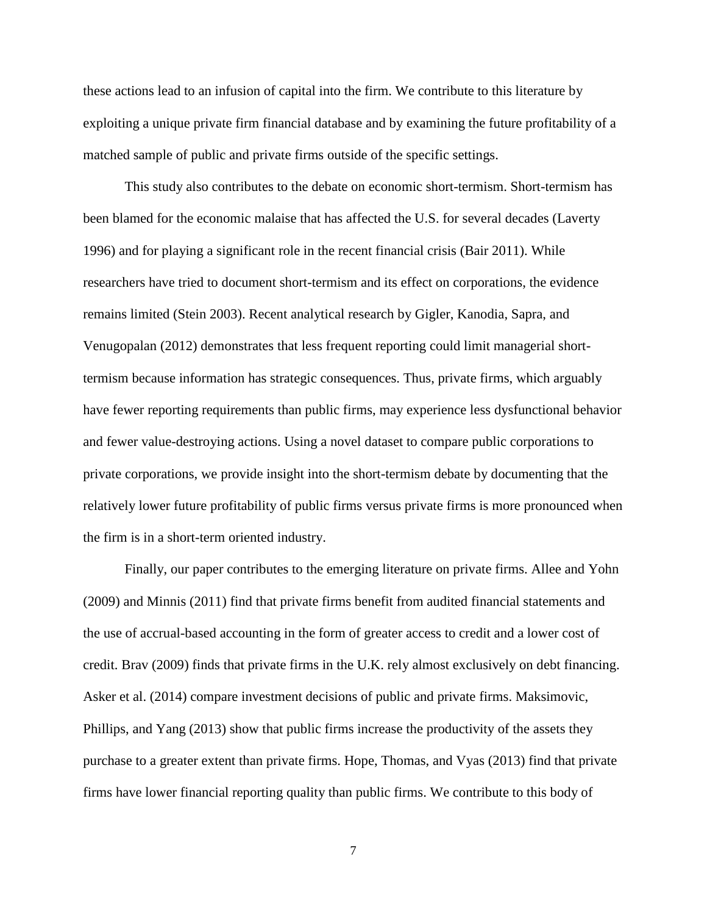these actions lead to an infusion of capital into the firm. We contribute to this literature by exploiting a unique private firm financial database and by examining the future profitability of a matched sample of public and private firms outside of the specific settings.

This study also contributes to the debate on economic short-termism. Short-termism has been blamed for the economic malaise that has affected the U.S. for several decades (Laverty 1996) and for playing a significant role in the recent financial crisis (Bair 2011). While researchers have tried to document short-termism and its effect on corporations, the evidence remains limited (Stein 2003). Recent analytical research by Gigler, Kanodia, Sapra, and Venugopalan (2012) demonstrates that less frequent reporting could limit managerial shorttermism because information has strategic consequences. Thus, private firms, which arguably have fewer reporting requirements than public firms, may experience less dysfunctional behavior and fewer value-destroying actions. Using a novel dataset to compare public corporations to private corporations, we provide insight into the short-termism debate by documenting that the relatively lower future profitability of public firms versus private firms is more pronounced when the firm is in a short-term oriented industry.

Finally, our paper contributes to the emerging literature on private firms. Allee and Yohn (2009) and Minnis (2011) find that private firms benefit from audited financial statements and the use of accrual-based accounting in the form of greater access to credit and a lower cost of credit. Brav (2009) finds that private firms in the U.K. rely almost exclusively on debt financing. Asker et al. (2014) compare investment decisions of public and private firms. Maksimovic, Phillips, and Yang (2013) show that public firms increase the productivity of the assets they purchase to a greater extent than private firms. Hope, Thomas, and Vyas (2013) find that private firms have lower financial reporting quality than public firms. We contribute to this body of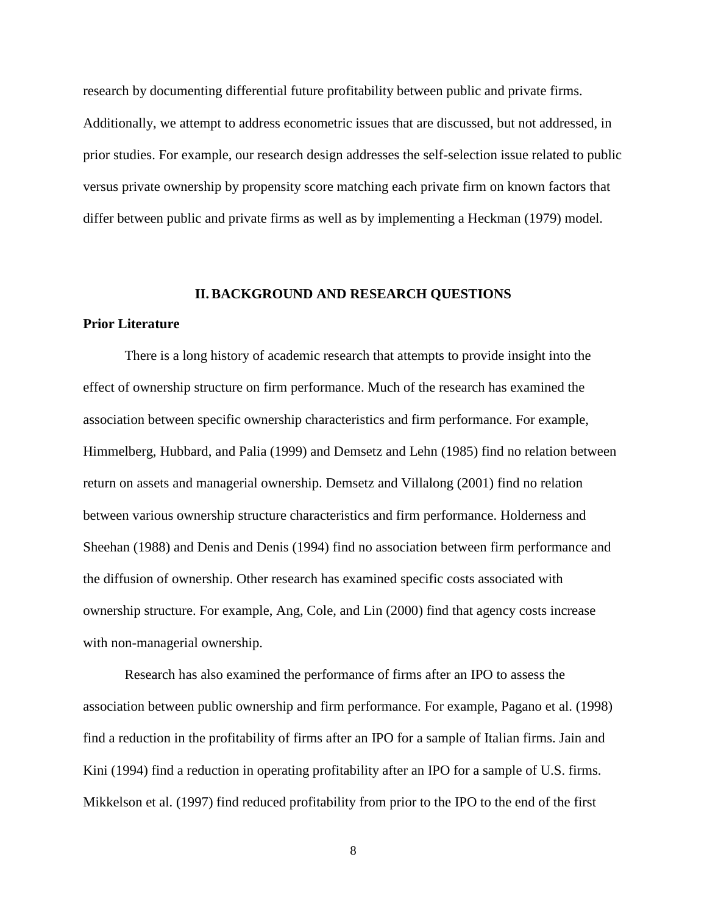research by documenting differential future profitability between public and private firms. Additionally, we attempt to address econometric issues that are discussed, but not addressed, in prior studies. For example, our research design addresses the self-selection issue related to public versus private ownership by propensity score matching each private firm on known factors that differ between public and private firms as well as by implementing a Heckman (1979) model.

#### **II. BACKGROUND AND RESEARCH QUESTIONS**

### **Prior Literature**

There is a long history of academic research that attempts to provide insight into the effect of ownership structure on firm performance. Much of the research has examined the association between specific ownership characteristics and firm performance. For example, Himmelberg, Hubbard, and Palia (1999) and Demsetz and Lehn (1985) find no relation between return on assets and managerial ownership. Demsetz and Villalong (2001) find no relation between various ownership structure characteristics and firm performance. Holderness and Sheehan (1988) and Denis and Denis (1994) find no association between firm performance and the diffusion of ownership. Other research has examined specific costs associated with ownership structure. For example, Ang, Cole, and Lin (2000) find that agency costs increase with non-managerial ownership.

Research has also examined the performance of firms after an IPO to assess the association between public ownership and firm performance. For example, Pagano et al. (1998) find a reduction in the profitability of firms after an IPO for a sample of Italian firms. Jain and Kini (1994) find a reduction in operating profitability after an IPO for a sample of U.S. firms. Mikkelson et al. (1997) find reduced profitability from prior to the IPO to the end of the first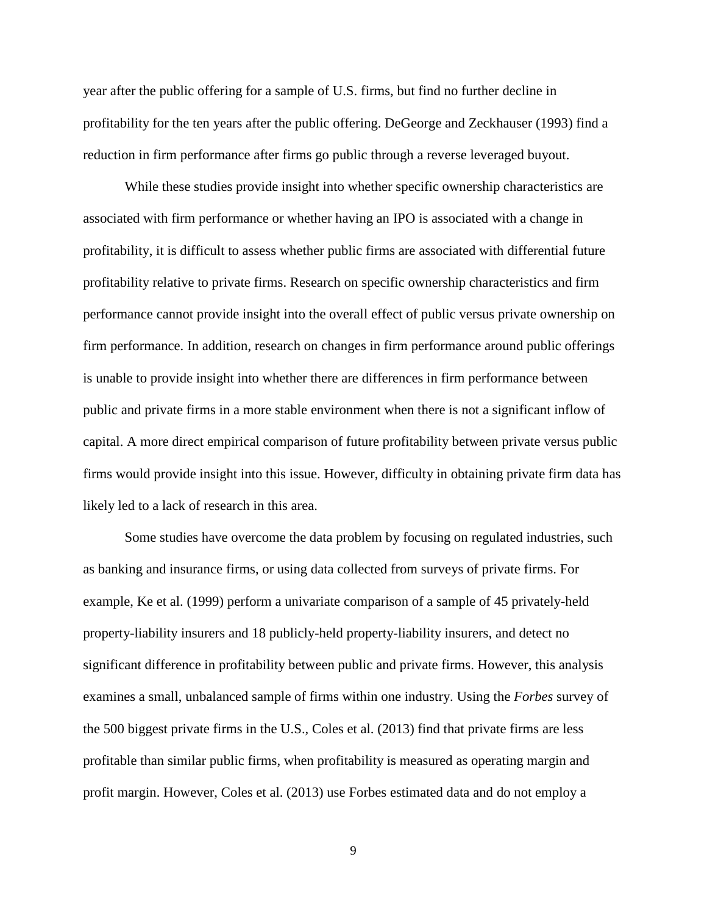year after the public offering for a sample of U.S. firms, but find no further decline in profitability for the ten years after the public offering. DeGeorge and Zeckhauser (1993) find a reduction in firm performance after firms go public through a reverse leveraged buyout.

While these studies provide insight into whether specific ownership characteristics are associated with firm performance or whether having an IPO is associated with a change in profitability, it is difficult to assess whether public firms are associated with differential future profitability relative to private firms. Research on specific ownership characteristics and firm performance cannot provide insight into the overall effect of public versus private ownership on firm performance. In addition, research on changes in firm performance around public offerings is unable to provide insight into whether there are differences in firm performance between public and private firms in a more stable environment when there is not a significant inflow of capital. A more direct empirical comparison of future profitability between private versus public firms would provide insight into this issue. However, difficulty in obtaining private firm data has likely led to a lack of research in this area.

Some studies have overcome the data problem by focusing on regulated industries, such as banking and insurance firms, or using data collected from surveys of private firms. For example, Ke et al. (1999) perform a univariate comparison of a sample of 45 privately-held property-liability insurers and 18 publicly-held property-liability insurers, and detect no significant difference in profitability between public and private firms. However, this analysis examines a small, unbalanced sample of firms within one industry. Using the *Forbes* survey of the 500 biggest private firms in the U.S., Coles et al. (2013) find that private firms are less profitable than similar public firms, when profitability is measured as operating margin and profit margin. However, Coles et al. (2013) use Forbes estimated data and do not employ a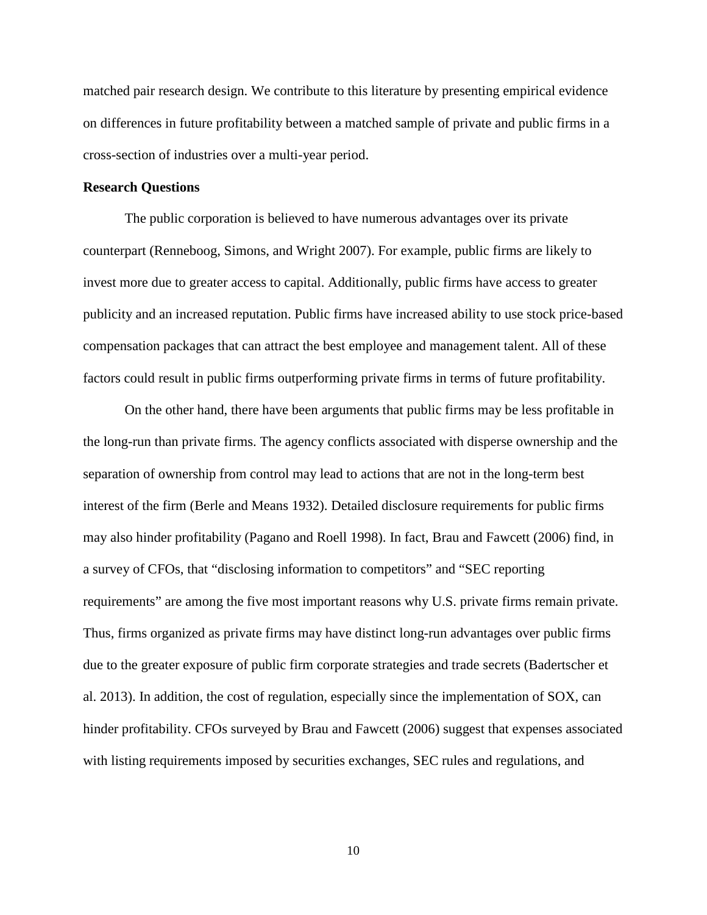matched pair research design. We contribute to this literature by presenting empirical evidence on differences in future profitability between a matched sample of private and public firms in a cross-section of industries over a multi-year period.

#### **Research Questions**

The public corporation is believed to have numerous advantages over its private counterpart (Renneboog, Simons, and Wright 2007). For example, public firms are likely to invest more due to greater access to capital. Additionally, public firms have access to greater publicity and an increased reputation. Public firms have increased ability to use stock price-based compensation packages that can attract the best employee and management talent. All of these factors could result in public firms outperforming private firms in terms of future profitability.

On the other hand, there have been arguments that public firms may be less profitable in the long-run than private firms. The agency conflicts associated with disperse ownership and the separation of ownership from control may lead to actions that are not in the long-term best interest of the firm (Berle and Means 1932). Detailed disclosure requirements for public firms may also hinder profitability (Pagano and Roell 1998). In fact, Brau and Fawcett (2006) find, in a survey of CFOs, that "disclosing information to competitors" and "SEC reporting requirements" are among the five most important reasons why U.S. private firms remain private. Thus, firms organized as private firms may have distinct long-run advantages over public firms due to the greater exposure of public firm corporate strategies and trade secrets (Badertscher et al. 2013). In addition, the cost of regulation, especially since the implementation of SOX, can hinder profitability. CFOs surveyed by Brau and Fawcett (2006) suggest that expenses associated with listing requirements imposed by securities exchanges, SEC rules and regulations, and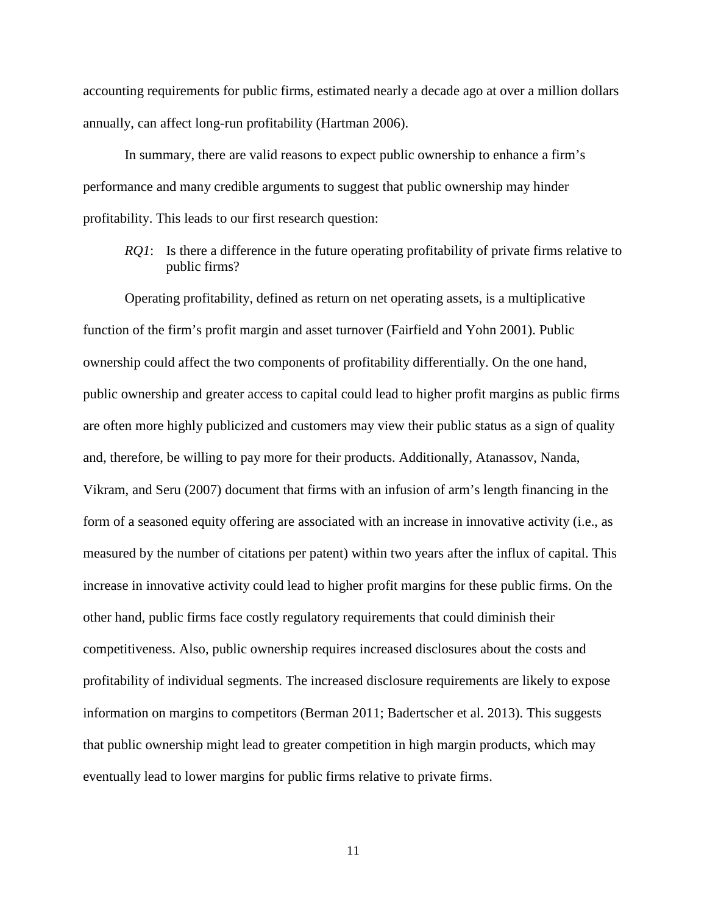accounting requirements for public firms, estimated nearly a decade ago at over a million dollars annually, can affect long-run profitability (Hartman 2006).

In summary, there are valid reasons to expect public ownership to enhance a firm's performance and many credible arguments to suggest that public ownership may hinder profitability. This leads to our first research question:

*RQ1*: Is there a difference in the future operating profitability of private firms relative to public firms?

Operating profitability, defined as return on net operating assets, is a multiplicative function of the firm's profit margin and asset turnover (Fairfield and Yohn 2001). Public ownership could affect the two components of profitability differentially. On the one hand, public ownership and greater access to capital could lead to higher profit margins as public firms are often more highly publicized and customers may view their public status as a sign of quality and, therefore, be willing to pay more for their products. Additionally, Atanassov, Nanda, Vikram, and Seru (2007) document that firms with an infusion of arm's length financing in the form of a seasoned equity offering are associated with an increase in innovative activity (i.e., as measured by the number of citations per patent) within two years after the influx of capital. This increase in innovative activity could lead to higher profit margins for these public firms. On the other hand, public firms face costly regulatory requirements that could diminish their competitiveness. Also, public ownership requires increased disclosures about the costs and profitability of individual segments. The increased disclosure requirements are likely to expose information on margins to competitors (Berman 2011; Badertscher et al. 2013). This suggests that public ownership might lead to greater competition in high margin products, which may eventually lead to lower margins for public firms relative to private firms.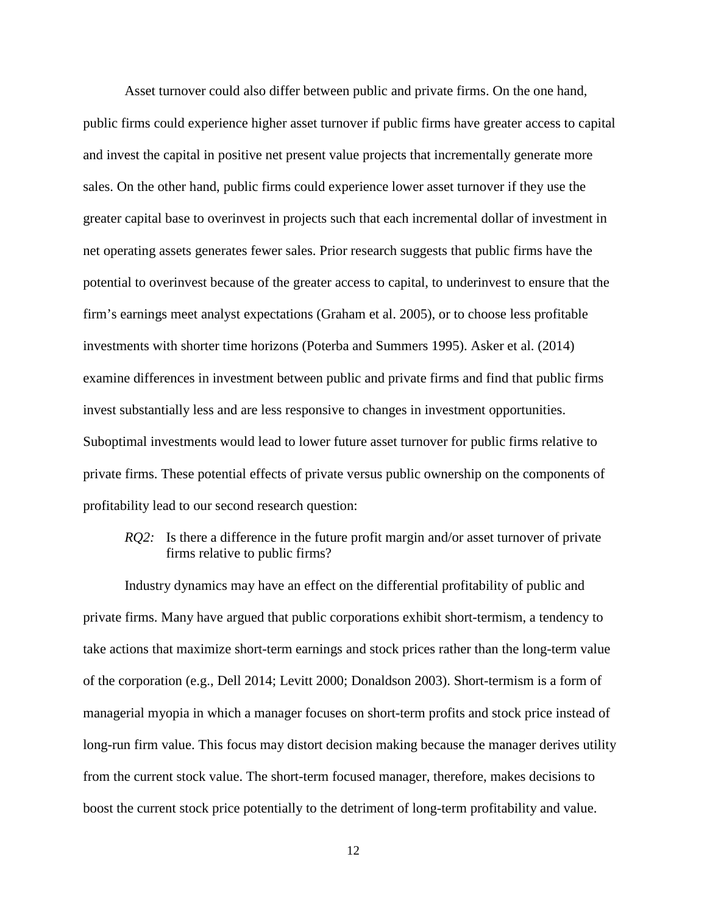Asset turnover could also differ between public and private firms. On the one hand, public firms could experience higher asset turnover if public firms have greater access to capital and invest the capital in positive net present value projects that incrementally generate more sales. On the other hand, public firms could experience lower asset turnover if they use the greater capital base to overinvest in projects such that each incremental dollar of investment in net operating assets generates fewer sales. Prior research suggests that public firms have the potential to overinvest because of the greater access to capital, to underinvest to ensure that the firm's earnings meet analyst expectations (Graham et al. 2005), or to choose less profitable investments with shorter time horizons (Poterba and Summers 1995). Asker et al. (2014) examine differences in investment between public and private firms and find that public firms invest substantially less and are less responsive to changes in investment opportunities. Suboptimal investments would lead to lower future asset turnover for public firms relative to private firms. These potential effects of private versus public ownership on the components of profitability lead to our second research question:

*RQ2*: Is there a difference in the future profit margin and/or asset turnover of private firms relative to public firms?

Industry dynamics may have an effect on the differential profitability of public and private firms. Many have argued that public corporations exhibit short-termism, a tendency to take actions that maximize short-term earnings and stock prices rather than the long-term value of the corporation (e.g., Dell 2014; Levitt 2000; Donaldson 2003). Short-termism is a form of managerial myopia in which a manager focuses on short-term profits and stock price instead of long-run firm value. This focus may distort decision making because the manager derives utility from the current stock value. The short-term focused manager, therefore, makes decisions to boost the current stock price potentially to the detriment of long-term profitability and value.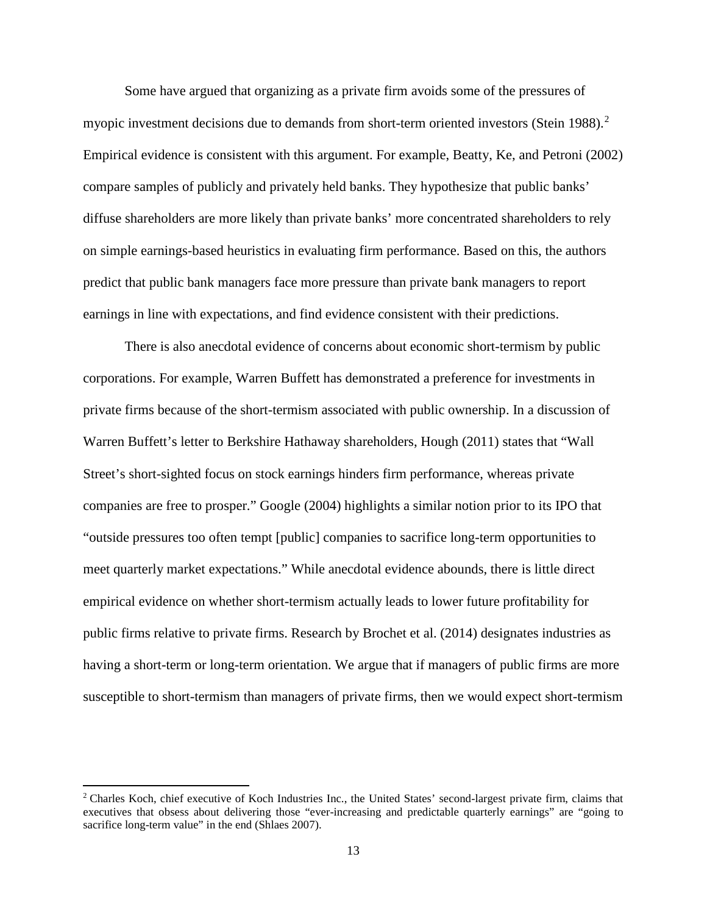Some have argued that organizing as a private firm avoids some of the pressures of myopic investment decisions due to demands from short-term oriented investors (Stein 1988).<sup>[2](#page-13-0)</sup> Empirical evidence is consistent with this argument. For example, Beatty, Ke, and Petroni (2002) compare samples of publicly and privately held banks. They hypothesize that public banks' diffuse shareholders are more likely than private banks' more concentrated shareholders to rely on simple earnings-based heuristics in evaluating firm performance. Based on this, the authors predict that public bank managers face more pressure than private bank managers to report earnings in line with expectations, and find evidence consistent with their predictions.

There is also anecdotal evidence of concerns about economic short-termism by public corporations. For example, Warren Buffett has demonstrated a preference for investments in private firms because of the short-termism associated with public ownership. In a discussion of Warren Buffett's letter to Berkshire Hathaway shareholders, Hough (2011) states that "Wall Street's short-sighted focus on stock earnings hinders firm performance, whereas private companies are free to prosper." Google (2004) highlights a similar notion prior to its IPO that "outside pressures too often tempt [public] companies to sacrifice long-term opportunities to meet quarterly market expectations." While anecdotal evidence abounds, there is little direct empirical evidence on whether short-termism actually leads to lower future profitability for public firms relative to private firms. Research by Brochet et al. (2014) designates industries as having a short-term or long-term orientation. We argue that if managers of public firms are more susceptible to short-termism than managers of private firms, then we would expect short-termism

 $\overline{\phantom{a}}$ 

<span id="page-13-0"></span><sup>2</sup> Charles Koch, chief executive of Koch Industries Inc., the United States' second-largest private firm, claims that executives that obsess about delivering those "ever-increasing and predictable quarterly earnings" are "going to sacrifice long-term value" in the end (Shlaes 2007).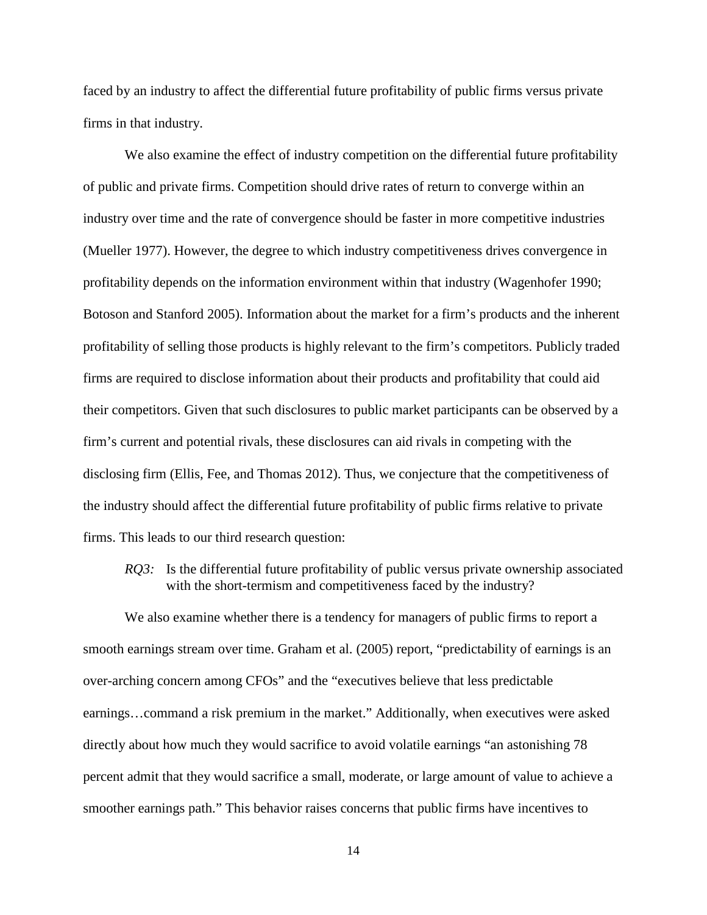faced by an industry to affect the differential future profitability of public firms versus private firms in that industry.

We also examine the effect of industry competition on the differential future profitability of public and private firms. Competition should drive rates of return to converge within an industry over time and the rate of convergence should be faster in more competitive industries (Mueller 1977). However, the degree to which industry competitiveness drives convergence in profitability depends on the information environment within that industry (Wagenhofer 1990; Botoson and Stanford 2005). Information about the market for a firm's products and the inherent profitability of selling those products is highly relevant to the firm's competitors. Publicly traded firms are required to disclose information about their products and profitability that could aid their competitors. Given that such disclosures to public market participants can be observed by a firm's current and potential rivals, these disclosures can aid rivals in competing with the disclosing firm (Ellis, Fee, and Thomas 2012). Thus, we conjecture that the competitiveness of the industry should affect the differential future profitability of public firms relative to private firms. This leads to our third research question:

*RQ3*: Is the differential future profitability of public versus private ownership associated with the short-termism and competitiveness faced by the industry?

We also examine whether there is a tendency for managers of public firms to report a smooth earnings stream over time. Graham et al. (2005) report, "predictability of earnings is an over-arching concern among CFOs" and the "executives believe that less predictable earnings…command a risk premium in the market." Additionally, when executives were asked directly about how much they would sacrifice to avoid volatile earnings "an astonishing 78 percent admit that they would sacrifice a small, moderate, or large amount of value to achieve a smoother earnings path." This behavior raises concerns that public firms have incentives to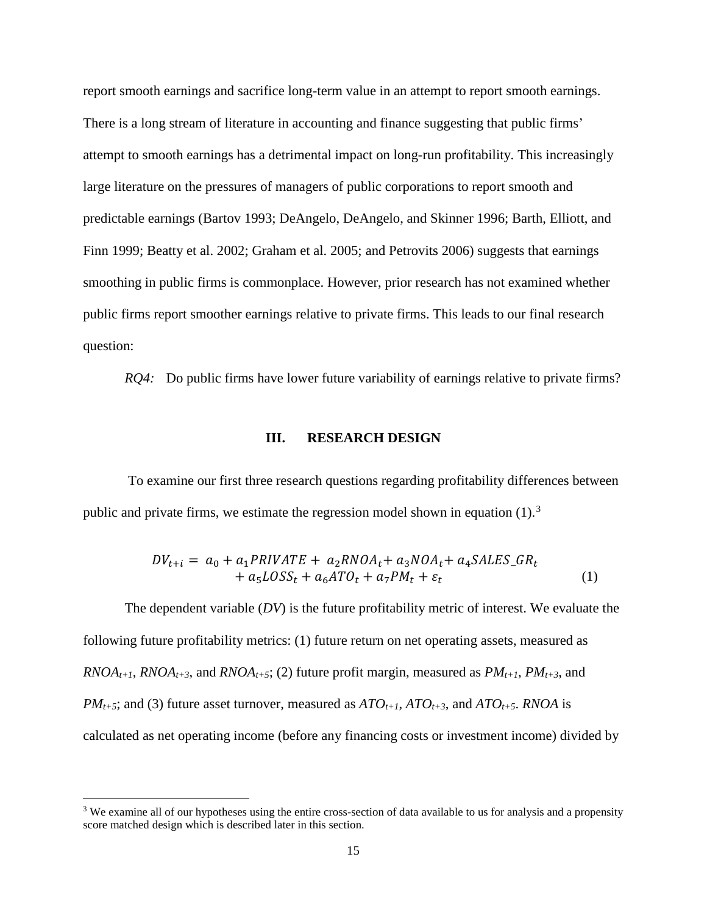report smooth earnings and sacrifice long-term value in an attempt to report smooth earnings. There is a long stream of literature in accounting and finance suggesting that public firms' attempt to smooth earnings has a detrimental impact on long-run profitability. This increasingly large literature on the pressures of managers of public corporations to report smooth and predictable earnings (Bartov 1993; DeAngelo, DeAngelo, and Skinner 1996; Barth, Elliott, and Finn 1999; Beatty et al. 2002; Graham et al. 2005; and Petrovits 2006) suggests that earnings smoothing in public firms is commonplace. However, prior research has not examined whether public firms report smoother earnings relative to private firms. This leads to our final research question:

*RQ4:* Do public firms have lower future variability of earnings relative to private firms?

#### **III. RESEARCH DESIGN**

To examine our first three research questions regarding profitability differences between public and private firms, we estimate the regression model shown in equation  $(1)$ .<sup>[3](#page-15-0)</sup>

$$
DV_{t+i} = a_0 + a_1 PRIVATE + a_2RNOA_t + a_3NOA_t + a_4SALES_GR_t
$$
  
+ a\_5LOSS\_t + a\_6ATO\_t + a\_7PM\_t + \varepsilon\_t (1)

The dependent variable (*DV*) is the future profitability metric of interest. We evaluate the following future profitability metrics: (1) future return on net operating assets, measured as  $RNOA_{t+1}$ ,  $RNOA_{t+3}$ , and  $RNOA_{t+5}$ ; (2) future profit margin, measured as  $PM_{t+1}$ ,  $PM_{t+3}$ , and *PM<sub>t+5</sub>*; and (3) future asset turnover, measured as  $ATO_{t+1}$ ,  $ATO_{t+3}$ , and  $ATO_{t+5}$ . *RNOA* is calculated as net operating income (before any financing costs or investment income) divided by

l

<span id="page-15-0"></span><sup>&</sup>lt;sup>3</sup> We examine all of our hypotheses using the entire cross-section of data available to us for analysis and a propensity score matched design which is described later in this section.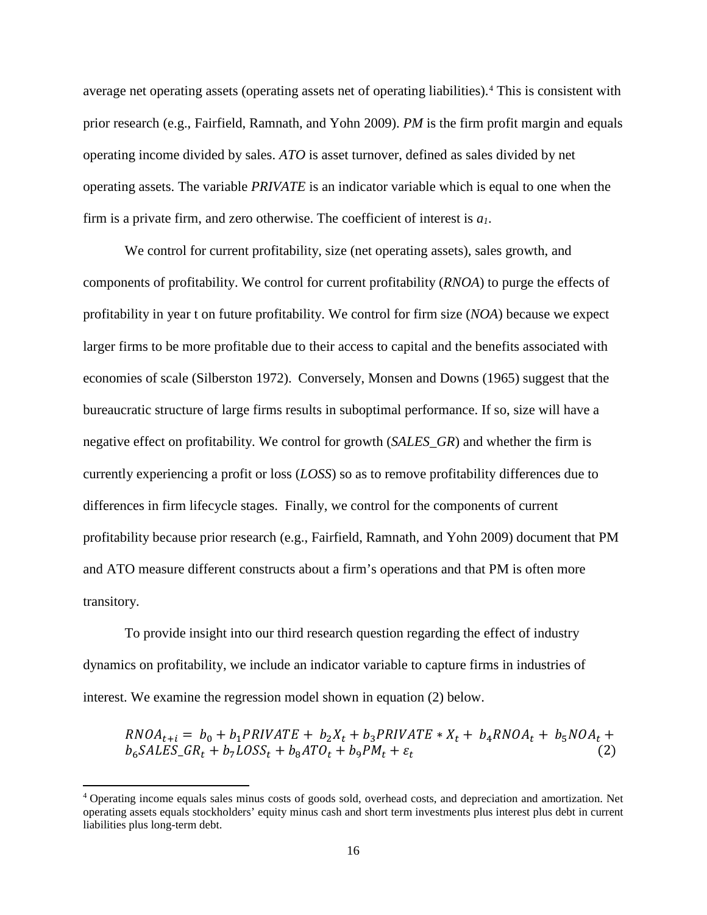average net operating assets (operating assets net of operating liabilities). [4](#page-16-0) This is consistent with prior research (e.g., Fairfield, Ramnath, and Yohn 2009). *PM* is the firm profit margin and equals operating income divided by sales. *ATO* is asset turnover, defined as sales divided by net operating assets. The variable *PRIVATE* is an indicator variable which is equal to one when the firm is a private firm, and zero otherwise. The coefficient of interest is *a1*.

We control for current profitability, size (net operating assets), sales growth, and components of profitability. We control for current profitability (*RNOA*) to purge the effects of profitability in year t on future profitability. We control for firm size (*NOA*) because we expect larger firms to be more profitable due to their access to capital and the benefits associated with economies of scale (Silberston 1972). Conversely, Monsen and Downs (1965) suggest that the bureaucratic structure of large firms results in suboptimal performance. If so, size will have a negative effect on profitability. We control for growth (*SALES\_GR*) and whether the firm is currently experiencing a profit or loss (*LOSS*) so as to remove profitability differences due to differences in firm lifecycle stages. Finally, we control for the components of current profitability because prior research (e.g., Fairfield, Ramnath, and Yohn 2009) document that PM and ATO measure different constructs about a firm's operations and that PM is often more transitory.

To provide insight into our third research question regarding the effect of industry dynamics on profitability, we include an indicator variable to capture firms in industries of interest. We examine the regression model shown in equation (2) below.

 $RNOA_{t+i} = b_0 + b_1 PRIVATE + b_2X_t + b_3 PRIVATE * X_t + b_4 RNOA_t + b_5 NOA_t + b_6 SALES_GR_t + b_7 LOS_t + b_8 ATO_t + b_9 PM_t + \varepsilon_t$  (2)  $b_6 SALES_GR_t + b_7 LOSS_t + b_8 ATO_t + b_9 PM_t + \varepsilon_t$ 

 $\overline{\phantom{a}}$ 

<span id="page-16-0"></span><sup>4</sup> Operating income equals sales minus costs of goods sold, overhead costs, and depreciation and amortization. Net operating assets equals stockholders' equity minus cash and short term investments plus interest plus debt in current liabilities plus long-term debt.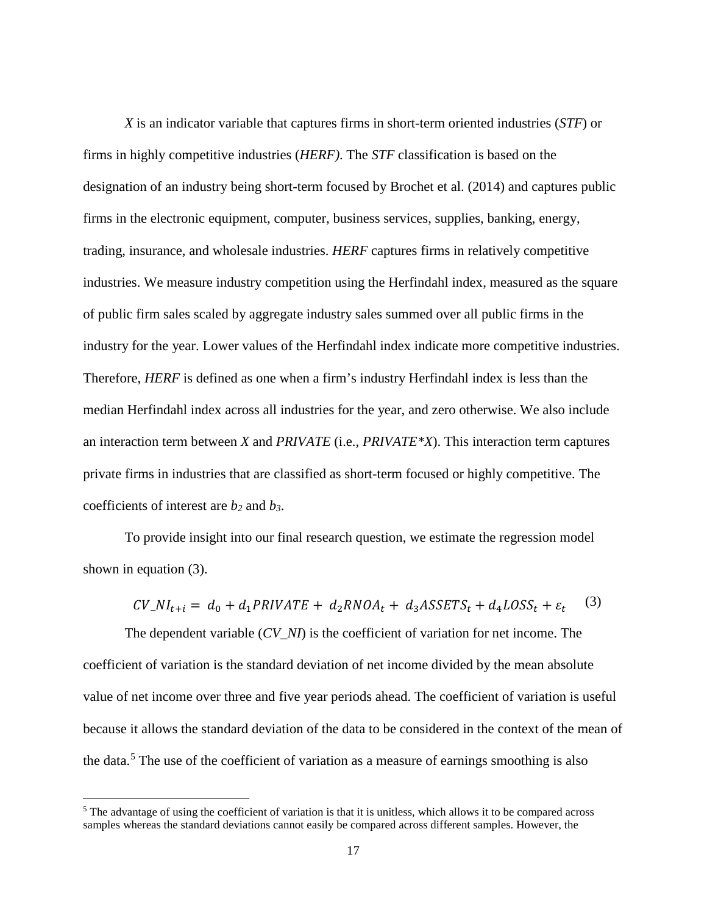*X* is an indicator variable that captures firms in short-term oriented industries (*STF*) or firms in highly competitive industries (*HERF)*. The *STF* classification is based on the designation of an industry being short-term focused by Brochet et al. (2014) and captures public firms in the electronic equipment, computer, business services, supplies, banking, energy, trading, insurance, and wholesale industries. *HERF* captures firms in relatively competitive industries. We measure industry competition using the Herfindahl index, measured as the square of public firm sales scaled by aggregate industry sales summed over all public firms in the industry for the year. Lower values of the Herfindahl index indicate more competitive industries. Therefore, *HERF* is defined as one when a firm's industry Herfindahl index is less than the median Herfindahl index across all industries for the year, and zero otherwise. We also include an interaction term between *X* and *PRIVATE* (i.e., *PRIVATE\*X*). This interaction term captures private firms in industries that are classified as short-term focused or highly competitive. The coefficients of interest are *b2* and *b3*.

To provide insight into our final research question, we estimate the regression model shown in equation (3).

$$
CV\_NI_{t+i} = d_0 + d_1 PRIVATE + d_2RNOA_t + d_3ASSETS_t + d_4LOSS_t + \varepsilon_t
$$
 (3)

The dependent variable (*CV\_NI*) is the coefficient of variation for net income. The coefficient of variation is the standard deviation of net income divided by the mean absolute value of net income over three and five year periods ahead. The coefficient of variation is useful because it allows the standard deviation of the data to be considered in the context of the mean of the data.<sup>[5](#page-17-0)</sup> The use of the coefficient of variation as a measure of earnings smoothing is also

l

<span id="page-17-0"></span><sup>&</sup>lt;sup>5</sup> The advantage of using the coefficient of variation is that it is unitless, which allows it to be compared across samples whereas the standard deviations cannot easily be compared across different samples. However, the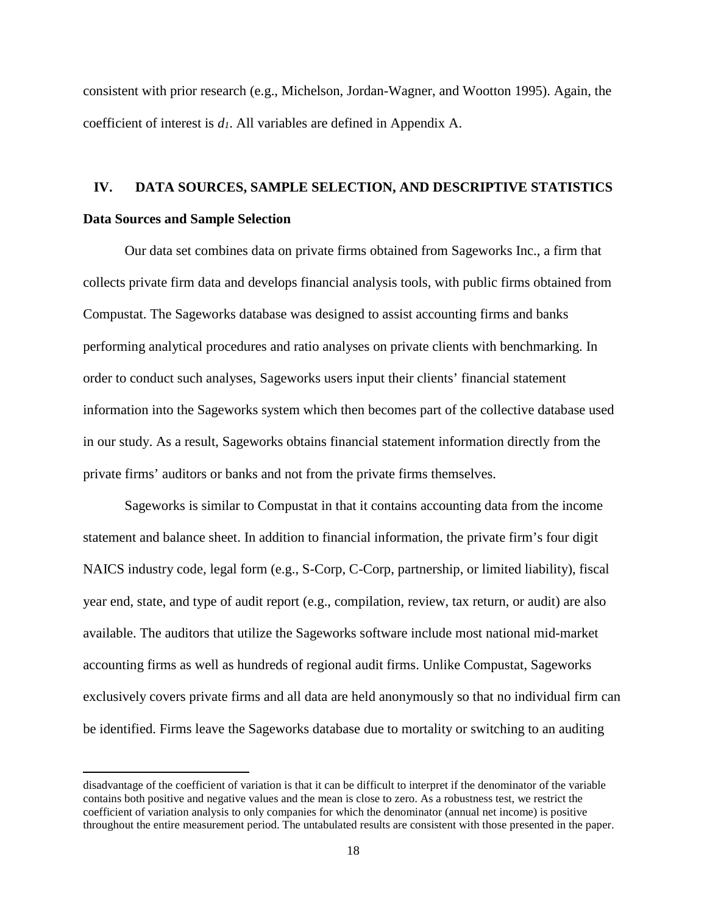consistent with prior research (e.g., Michelson, Jordan-Wagner, and Wootton 1995). Again, the coefficient of interest is *d1*. All variables are defined in Appendix A.

# **IV. DATA SOURCES, SAMPLE SELECTION, AND DESCRIPTIVE STATISTICS Data Sources and Sample Selection**

Our data set combines data on private firms obtained from Sageworks Inc., a firm that collects private firm data and develops financial analysis tools, with public firms obtained from Compustat. The Sageworks database was designed to assist accounting firms and banks performing analytical procedures and ratio analyses on private clients with benchmarking. In order to conduct such analyses, Sageworks users input their clients' financial statement information into the Sageworks system which then becomes part of the collective database used in our study. As a result, Sageworks obtains financial statement information directly from the private firms' auditors or banks and not from the private firms themselves.

Sageworks is similar to Compustat in that it contains accounting data from the income statement and balance sheet. In addition to financial information, the private firm's four digit NAICS industry code, legal form (e.g., S-Corp, C-Corp, partnership, or limited liability), fiscal year end, state, and type of audit report (e.g., compilation, review, tax return, or audit) are also available. The auditors that utilize the Sageworks software include most national mid-market accounting firms as well as hundreds of regional audit firms. Unlike Compustat, Sageworks exclusively covers private firms and all data are held anonymously so that no individual firm can be identified. Firms leave the Sageworks database due to mortality or switching to an auditing

l

disadvantage of the coefficient of variation is that it can be difficult to interpret if the denominator of the variable contains both positive and negative values and the mean is close to zero. As a robustness test, we restrict the coefficient of variation analysis to only companies for which the denominator (annual net income) is positive throughout the entire measurement period. The untabulated results are consistent with those presented in the paper.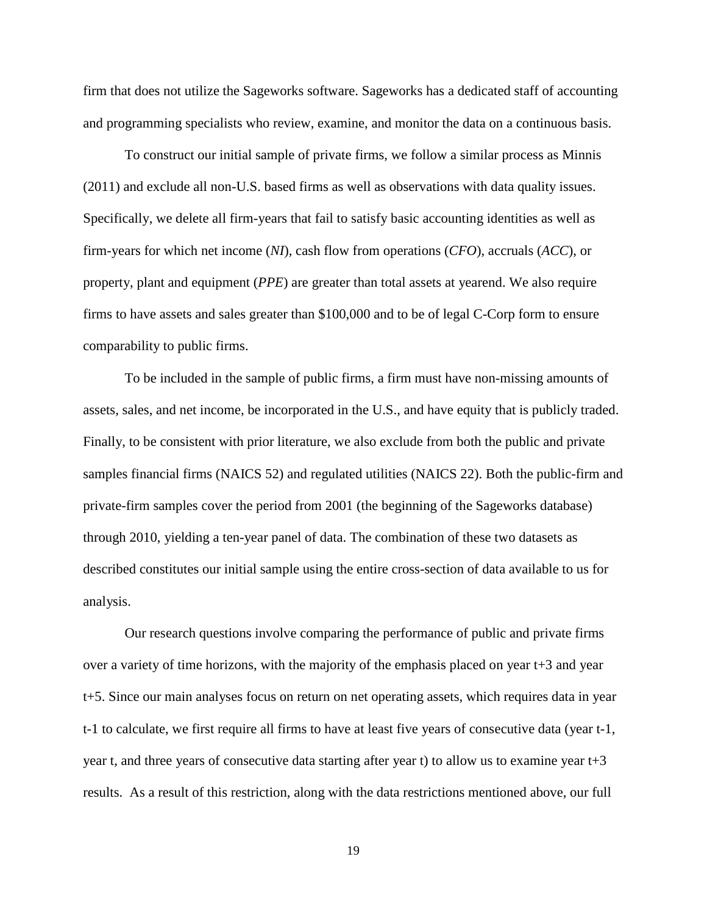firm that does not utilize the Sageworks software. Sageworks has a dedicated staff of accounting and programming specialists who review, examine, and monitor the data on a continuous basis.

To construct our initial sample of private firms, we follow a similar process as Minnis (2011) and exclude all non-U.S. based firms as well as observations with data quality issues. Specifically, we delete all firm-years that fail to satisfy basic accounting identities as well as firm-years for which net income (*NI*), cash flow from operations (*CFO*), accruals (*ACC*), or property, plant and equipment (*PPE*) are greater than total assets at yearend. We also require firms to have assets and sales greater than \$100,000 and to be of legal C-Corp form to ensure comparability to public firms.

To be included in the sample of public firms, a firm must have non-missing amounts of assets, sales, and net income, be incorporated in the U.S., and have equity that is publicly traded. Finally, to be consistent with prior literature, we also exclude from both the public and private samples financial firms (NAICS 52) and regulated utilities (NAICS 22). Both the public-firm and private-firm samples cover the period from 2001 (the beginning of the Sageworks database) through 2010, yielding a ten-year panel of data. The combination of these two datasets as described constitutes our initial sample using the entire cross-section of data available to us for analysis.

Our research questions involve comparing the performance of public and private firms over a variety of time horizons, with the majority of the emphasis placed on year t+3 and year t+5. Since our main analyses focus on return on net operating assets, which requires data in year t-1 to calculate, we first require all firms to have at least five years of consecutive data (year t-1, year t, and three years of consecutive data starting after year t) to allow us to examine year t+3 results. As a result of this restriction, along with the data restrictions mentioned above, our full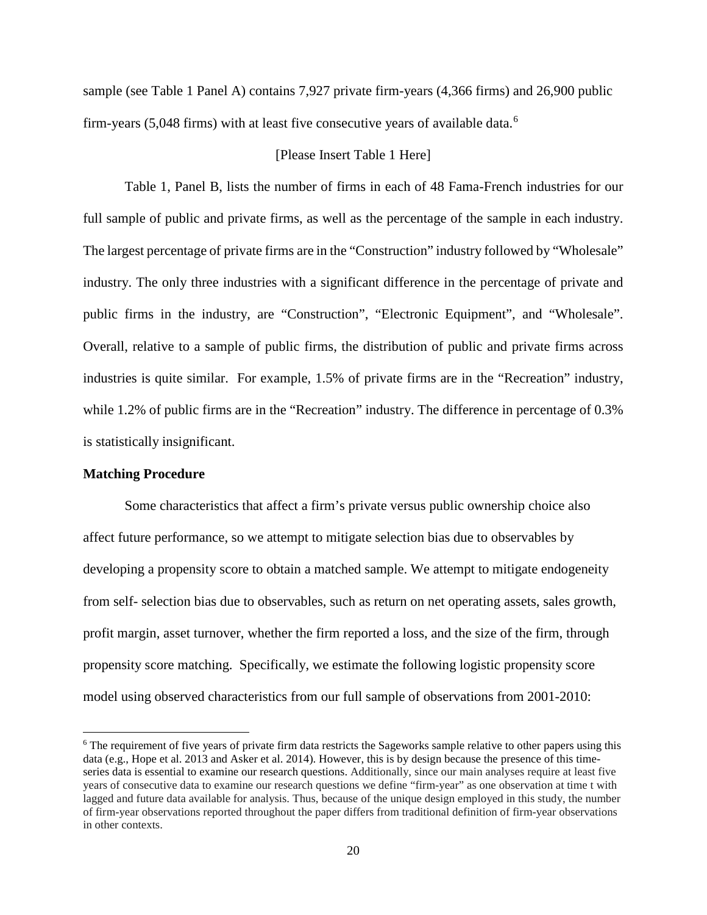sample (see Table 1 Panel A) contains 7,927 private firm-years (4,366 firms) and 26,900 public firm-years (5,048 firms) with at least five consecutive years of available data.<sup>[6](#page-20-0)</sup>

#### [Please Insert Table 1 Here]

Table 1, Panel B, lists the number of firms in each of 48 Fama-French industries for our full sample of public and private firms, as well as the percentage of the sample in each industry. The largest percentage of private firms are in the "Construction" industry followed by "Wholesale" industry. The only three industries with a significant difference in the percentage of private and public firms in the industry, are "Construction", "Electronic Equipment", and "Wholesale". Overall, relative to a sample of public firms, the distribution of public and private firms across industries is quite similar. For example, 1.5% of private firms are in the "Recreation" industry, while 1.2% of public firms are in the "Recreation" industry. The difference in percentage of 0.3% is statistically insignificant.

#### **Matching Procedure**

l

Some characteristics that affect a firm's private versus public ownership choice also affect future performance, so we attempt to mitigate selection bias due to observables by developing a propensity score to obtain a matched sample. We attempt to mitigate endogeneity from self- selection bias due to observables, such as return on net operating assets, sales growth, profit margin, asset turnover, whether the firm reported a loss, and the size of the firm, through propensity score matching. Specifically, we estimate the following logistic propensity score model using observed characteristics from our full sample of observations from 2001-2010:

<span id="page-20-0"></span><sup>&</sup>lt;sup>6</sup> The requirement of five years of private firm data restricts the Sageworks sample relative to other papers using this data (e.g., Hope et al. 2013 and Asker et al. 2014). However, this is by design because the presence of this timeseries data is essential to examine our research questions. Additionally, since our main analyses require at least five years of consecutive data to examine our research questions we define "firm-year" as one observation at time t with lagged and future data available for analysis. Thus, because of the unique design employed in this study, the number of firm-year observations reported throughout the paper differs from traditional definition of firm-year observations in other contexts.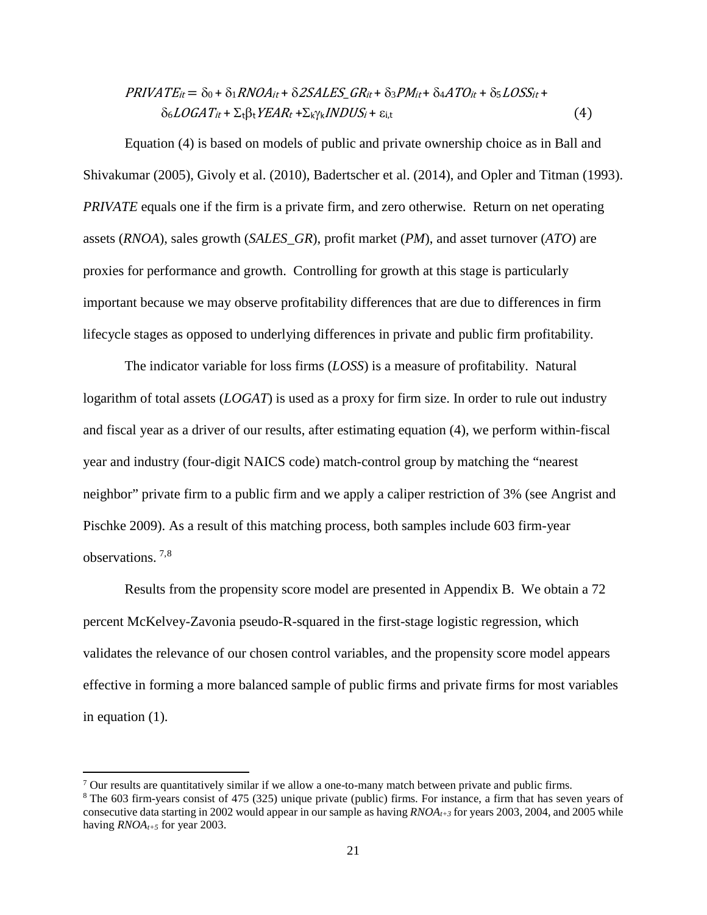$$
PRIVATE_{it} = \delta_0 + \delta_1 RNOA_{it} + \delta2SALES\_GR_{it} + \delta_3 PM_{it} + \delta_4 ATO_{it} + \delta_5 LOSSt_{it} +
$$
  
 
$$
\delta_6 LOGAT_{it} + \Sigma_t \beta_t YEAR_t + \Sigma_k \gamma_k INDUS_i + \varepsilon_{i,t}
$$
 (4)

Equation (4) is based on models of public and private ownership choice as in Ball and Shivakumar (2005), Givoly et al. (2010), Badertscher et al. (2014), and Opler and Titman (1993). *PRIVATE* equals one if the firm is a private firm, and zero otherwise. Return on net operating assets (*RNOA*), sales growth (*SALES\_GR*), profit market (*PM*), and asset turnover (*ATO*) are proxies for performance and growth. Controlling for growth at this stage is particularly important because we may observe profitability differences that are due to differences in firm lifecycle stages as opposed to underlying differences in private and public firm profitability.

The indicator variable for loss firms (*LOSS*) is a measure of profitability. Natural logarithm of total assets (*LOGAT*) is used as a proxy for firm size. In order to rule out industry and fiscal year as a driver of our results, after estimating equation (4), we perform within-fiscal year and industry (four-digit NAICS code) match-control group by matching the "nearest neighbor" private firm to a public firm and we apply a caliper restriction of 3% (see Angrist and Pischke 2009). As a result of this matching process, both samples include 603 firm-year observations. [7](#page-21-0),[8](#page-21-1)

Results from the propensity score model are presented in Appendix B. We obtain a 72 percent McKelvey-Zavonia pseudo-R-squared in the first-stage logistic regression, which validates the relevance of our chosen control variables, and the propensity score model appears effective in forming a more balanced sample of public firms and private firms for most variables in equation (1).

l

<span id="page-21-0"></span> $7$  Our results are quantitatively similar if we allow a one-to-many match between private and public firms.

<span id="page-21-1"></span><sup>&</sup>lt;sup>8</sup> The 603 firm-years consist of 475 (325) unique private (public) firms. For instance, a firm that has seven years of consecutive data starting in 2002 would appear in our sample as having *RNOAt+3* for years 2003, 2004, and 2005 while having *RNOA*<sub>t+5</sub> for year 2003.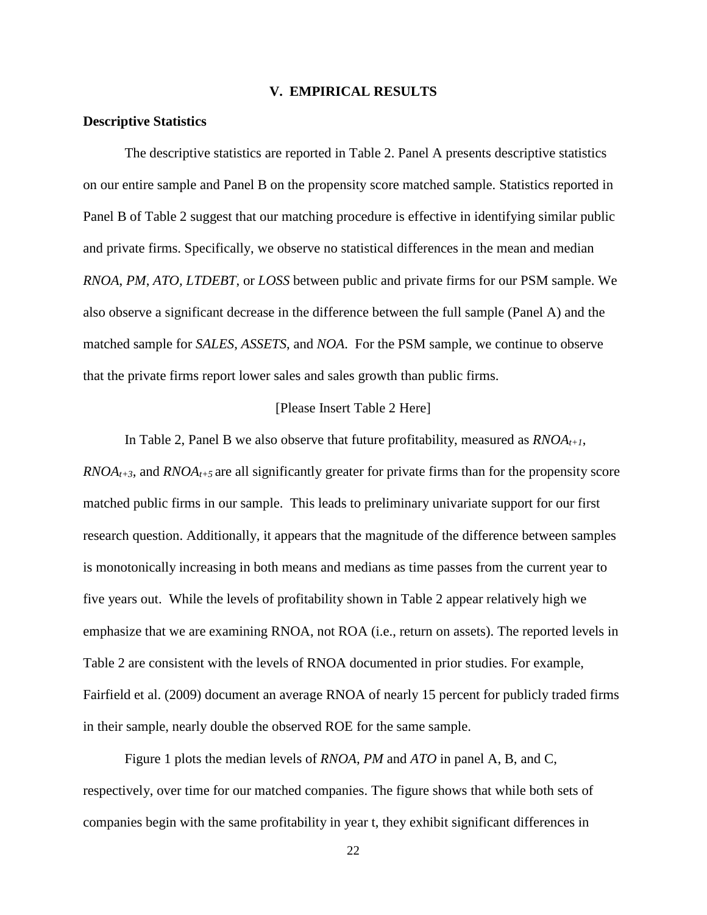#### **V. EMPIRICAL RESULTS**

#### **Descriptive Statistics**

The descriptive statistics are reported in Table 2. Panel A presents descriptive statistics on our entire sample and Panel B on the propensity score matched sample. Statistics reported in Panel B of Table 2 suggest that our matching procedure is effective in identifying similar public and private firms. Specifically, we observe no statistical differences in the mean and median *RNOA*, *PM*, *ATO, LTDEBT*, or *LOSS* between public and private firms for our PSM sample. We also observe a significant decrease in the difference between the full sample (Panel A) and the matched sample for *SALES*, *ASSETS*, and *NOA*. For the PSM sample, we continue to observe that the private firms report lower sales and sales growth than public firms.

#### [Please Insert Table 2 Here]

In Table 2, Panel B we also observe that future profitability, measured as  $RNOA_{t+1}$ ,  $RNOA<sub>t+3</sub>$ , and  $RNOA<sub>t+5</sub>$  are all significantly greater for private firms than for the propensity score matched public firms in our sample. This leads to preliminary univariate support for our first research question. Additionally, it appears that the magnitude of the difference between samples is monotonically increasing in both means and medians as time passes from the current year to five years out. While the levels of profitability shown in Table 2 appear relatively high we emphasize that we are examining RNOA, not ROA (i.e., return on assets). The reported levels in Table 2 are consistent with the levels of RNOA documented in prior studies. For example, Fairfield et al. (2009) document an average RNOA of nearly 15 percent for publicly traded firms in their sample, nearly double the observed ROE for the same sample.

Figure 1 plots the median levels of *RNOA*, *PM* and *ATO* in panel A, B, and C, respectively, over time for our matched companies. The figure shows that while both sets of companies begin with the same profitability in year t, they exhibit significant differences in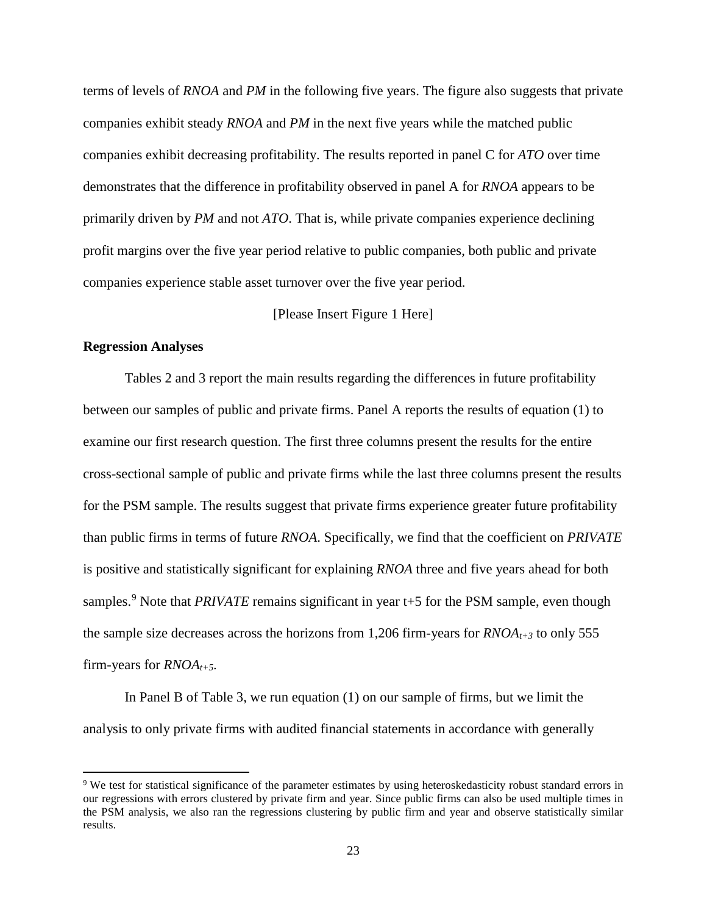terms of levels of *RNOA* and *PM* in the following five years. The figure also suggests that private companies exhibit steady *RNOA* and *PM* in the next five years while the matched public companies exhibit decreasing profitability. The results reported in panel C for *ATO* over time demonstrates that the difference in profitability observed in panel A for *RNOA* appears to be primarily driven by *PM* and not *ATO*. That is, while private companies experience declining profit margins over the five year period relative to public companies, both public and private companies experience stable asset turnover over the five year period.

### [Please Insert Figure 1 Here]

#### **Regression Analyses**

l

Tables 2 and 3 report the main results regarding the differences in future profitability between our samples of public and private firms. Panel A reports the results of equation (1) to examine our first research question. The first three columns present the results for the entire cross-sectional sample of public and private firms while the last three columns present the results for the PSM sample. The results suggest that private firms experience greater future profitability than public firms in terms of future *RNOA*. Specifically, we find that the coefficient on *PRIVATE* is positive and statistically significant for explaining *RNOA* three and five years ahead for both samples.<sup>[9](#page-23-0)</sup> Note that *PRIVATE* remains significant in year t+5 for the PSM sample, even though the sample size decreases across the horizons from 1,206 firm-years for  $RNOA_{t+3}$  to only 555 firm-years for *RNOAt+5*.

In Panel B of Table 3, we run equation (1) on our sample of firms, but we limit the analysis to only private firms with audited financial statements in accordance with generally

<span id="page-23-0"></span><sup>&</sup>lt;sup>9</sup> We test for statistical significance of the parameter estimates by using heteroskedasticity robust standard errors in our regressions with errors clustered by private firm and year. Since public firms can also be used multiple times in the PSM analysis, we also ran the regressions clustering by public firm and year and observe statistically similar results.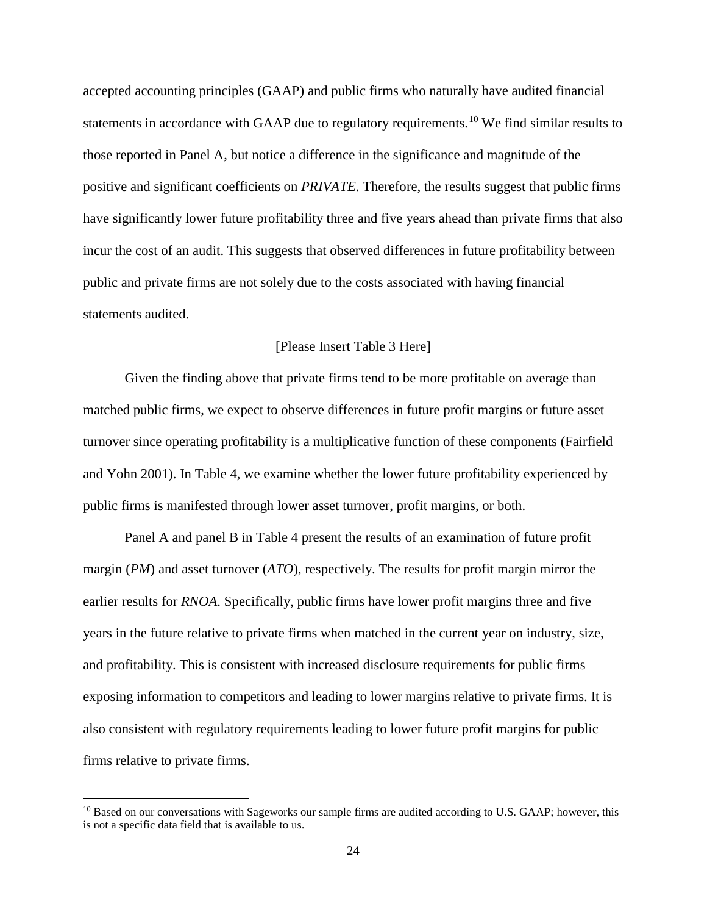accepted accounting principles (GAAP) and public firms who naturally have audited financial statements in accordance with GAAP due to regulatory requirements.<sup>[10](#page-24-0)</sup> We find similar results to those reported in Panel A, but notice a difference in the significance and magnitude of the positive and significant coefficients on *PRIVATE*. Therefore, the results suggest that public firms have significantly lower future profitability three and five years ahead than private firms that also incur the cost of an audit. This suggests that observed differences in future profitability between public and private firms are not solely due to the costs associated with having financial statements audited.

#### [Please Insert Table 3 Here]

Given the finding above that private firms tend to be more profitable on average than matched public firms, we expect to observe differences in future profit margins or future asset turnover since operating profitability is a multiplicative function of these components (Fairfield and Yohn 2001). In Table 4, we examine whether the lower future profitability experienced by public firms is manifested through lower asset turnover, profit margins, or both.

Panel A and panel B in Table 4 present the results of an examination of future profit margin (*PM*) and asset turnover (*ATO*), respectively. The results for profit margin mirror the earlier results for *RNOA*. Specifically, public firms have lower profit margins three and five years in the future relative to private firms when matched in the current year on industry, size, and profitability. This is consistent with increased disclosure requirements for public firms exposing information to competitors and leading to lower margins relative to private firms. It is also consistent with regulatory requirements leading to lower future profit margins for public firms relative to private firms.

l

<span id="page-24-0"></span><sup>&</sup>lt;sup>10</sup> Based on our conversations with Sageworks our sample firms are audited according to U.S. GAAP; however, this is not a specific data field that is available to us.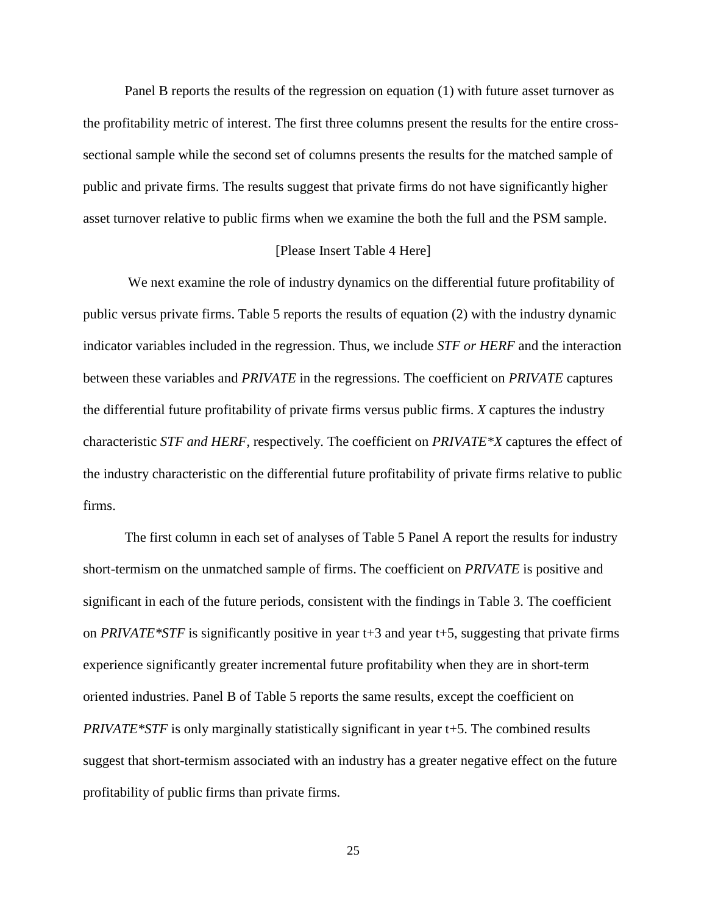Panel B reports the results of the regression on equation (1) with future asset turnover as the profitability metric of interest. The first three columns present the results for the entire crosssectional sample while the second set of columns presents the results for the matched sample of public and private firms. The results suggest that private firms do not have significantly higher asset turnover relative to public firms when we examine the both the full and the PSM sample.

#### [Please Insert Table 4 Here]

We next examine the role of industry dynamics on the differential future profitability of public versus private firms. Table 5 reports the results of equation (2) with the industry dynamic indicator variables included in the regression. Thus, we include *STF or HERF* and the interaction between these variables and *PRIVATE* in the regressions. The coefficient on *PRIVATE* captures the differential future profitability of private firms versus public firms. *X* captures the industry characteristic *STF and HERF*, respectively. The coefficient on *PRIVATE\*X* captures the effect of the industry characteristic on the differential future profitability of private firms relative to public firms.

The first column in each set of analyses of Table 5 Panel A report the results for industry short-termism on the unmatched sample of firms. The coefficient on *PRIVATE* is positive and significant in each of the future periods, consistent with the findings in Table 3. The coefficient on *PRIVATE\*STF* is significantly positive in year t+3 and year t+5, suggesting that private firms experience significantly greater incremental future profitability when they are in short-term oriented industries. Panel B of Table 5 reports the same results, except the coefficient on *PRIVATE\*STF* is only marginally statistically significant in year t+5. The combined results suggest that short-termism associated with an industry has a greater negative effect on the future profitability of public firms than private firms.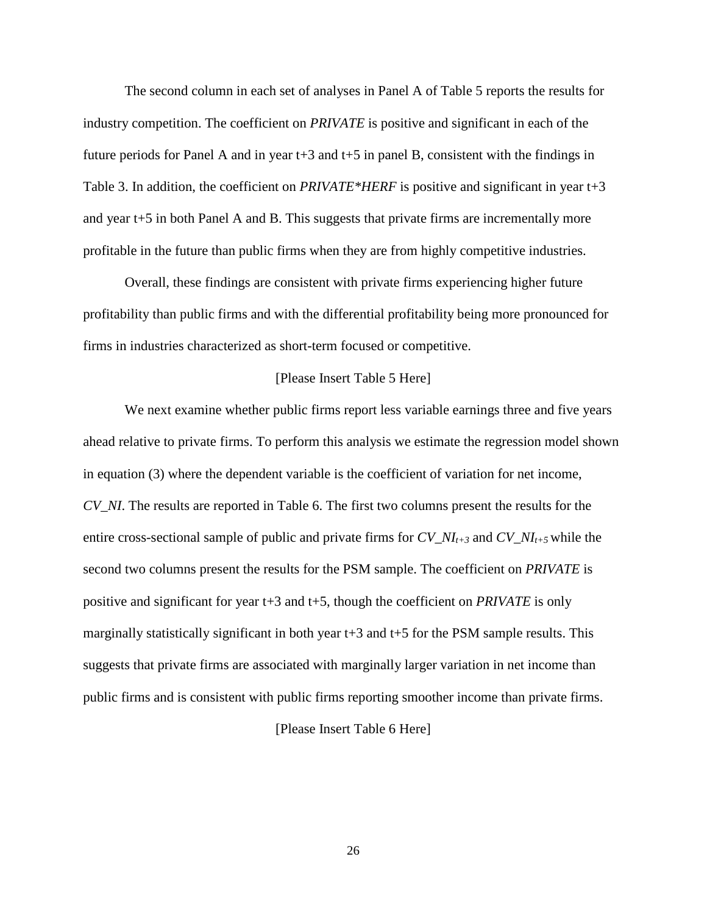The second column in each set of analyses in Panel A of Table 5 reports the results for industry competition. The coefficient on *PRIVATE* is positive and significant in each of the future periods for Panel A and in year  $t+3$  and  $t+5$  in panel B, consistent with the findings in Table 3. In addition, the coefficient on *PRIVATE\*HERF* is positive and significant in year t+3 and year t+5 in both Panel A and B. This suggests that private firms are incrementally more profitable in the future than public firms when they are from highly competitive industries.

Overall, these findings are consistent with private firms experiencing higher future profitability than public firms and with the differential profitability being more pronounced for firms in industries characterized as short-term focused or competitive.

#### [Please Insert Table 5 Here]

We next examine whether public firms report less variable earnings three and five years ahead relative to private firms. To perform this analysis we estimate the regression model shown in equation (3) where the dependent variable is the coefficient of variation for net income, *CV\_NI*. The results are reported in Table 6. The first two columns present the results for the entire cross-sectional sample of public and private firms for  $CV\_NI_{t+3}$  and  $CV\_NI_{t+5}$  while the second two columns present the results for the PSM sample. The coefficient on *PRIVATE* is positive and significant for year t+3 and t+5, though the coefficient on *PRIVATE* is only marginally statistically significant in both year  $t+3$  and  $t+5$  for the PSM sample results. This suggests that private firms are associated with marginally larger variation in net income than public firms and is consistent with public firms reporting smoother income than private firms.

#### [Please Insert Table 6 Here]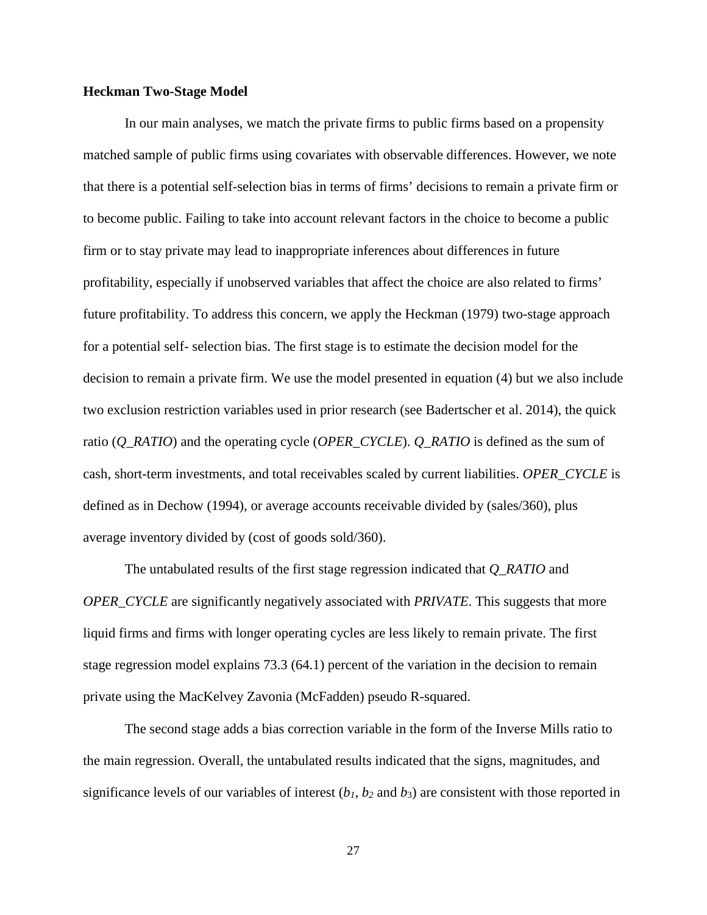#### **Heckman Two-Stage Model**

In our main analyses, we match the private firms to public firms based on a propensity matched sample of public firms using covariates with observable differences. However, we note that there is a potential self-selection bias in terms of firms' decisions to remain a private firm or to become public. Failing to take into account relevant factors in the choice to become a public firm or to stay private may lead to inappropriate inferences about differences in future profitability, especially if unobserved variables that affect the choice are also related to firms' future profitability. To address this concern, we apply the Heckman (1979) two-stage approach for a potential self- selection bias. The first stage is to estimate the decision model for the decision to remain a private firm. We use the model presented in equation (4) but we also include two exclusion restriction variables used in prior research (see Badertscher et al. 2014), the quick ratio (*Q\_RATIO*) and the operating cycle (*OPER\_CYCLE*). *Q\_RATIO* is defined as the sum of cash, short-term investments, and total receivables scaled by current liabilities. *OPER\_CYCLE* is defined as in Dechow (1994), or average accounts receivable divided by (sales/360), plus average inventory divided by (cost of goods sold/360).

The untabulated results of the first stage regression indicated that *Q\_RATIO* and *OPER\_CYCLE* are significantly negatively associated with *PRIVATE*. This suggests that more liquid firms and firms with longer operating cycles are less likely to remain private. The first stage regression model explains 73.3 (64.1) percent of the variation in the decision to remain private using the MacKelvey Zavonia (McFadden) pseudo R-squared.

The second stage adds a bias correction variable in the form of the Inverse Mills ratio to the main regression. Overall, the untabulated results indicated that the signs, magnitudes, and significance levels of our variables of interest  $(b_1, b_2, \text{ and } b_3)$  are consistent with those reported in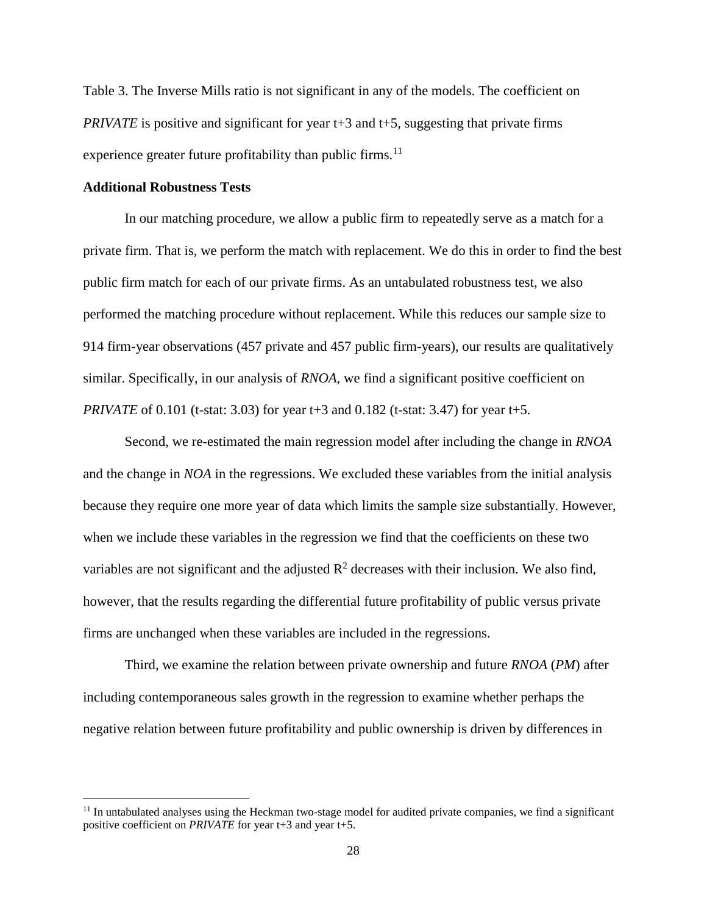Table 3. The Inverse Mills ratio is not significant in any of the models. The coefficient on *PRIVATE* is positive and significant for year t+3 and t+5, suggesting that private firms experience greater future profitability than public firms.<sup>[11](#page-28-0)</sup>

#### **Additional Robustness Tests**

l

In our matching procedure, we allow a public firm to repeatedly serve as a match for a private firm. That is, we perform the match with replacement. We do this in order to find the best public firm match for each of our private firms. As an untabulated robustness test, we also performed the matching procedure without replacement. While this reduces our sample size to 914 firm-year observations (457 private and 457 public firm-years), our results are qualitatively similar. Specifically, in our analysis of *RNOA*, we find a significant positive coefficient on *PRIVATE* of 0.101 (t-stat: 3.03) for year t+3 and 0.182 (t-stat: 3.47) for year t+5.

Second, we re-estimated the main regression model after including the change in *RNOA* and the change in *NOA* in the regressions. We excluded these variables from the initial analysis because they require one more year of data which limits the sample size substantially. However, when we include these variables in the regression we find that the coefficients on these two variables are not significant and the adjusted  $R^2$  decreases with their inclusion. We also find, however, that the results regarding the differential future profitability of public versus private firms are unchanged when these variables are included in the regressions.

Third, we examine the relation between private ownership and future *RNOA* (*PM*) after including contemporaneous sales growth in the regression to examine whether perhaps the negative relation between future profitability and public ownership is driven by differences in

<span id="page-28-0"></span> $11$  In untabulated analyses using the Heckman two-stage model for audited private companies, we find a significant positive coefficient on *PRIVATE* for year t+3 and year t+5.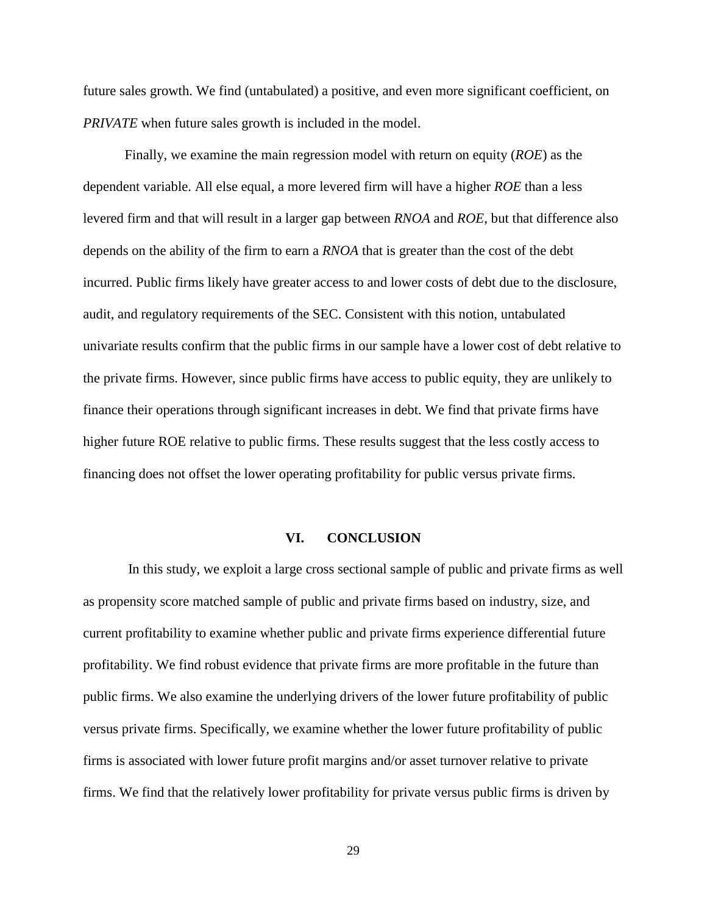future sales growth. We find (untabulated) a positive, and even more significant coefficient, on *PRIVATE* when future sales growth is included in the model.

Finally, we examine the main regression model with return on equity (*ROE*) as the dependent variable. All else equal, a more levered firm will have a higher *ROE* than a less levered firm and that will result in a larger gap between *RNOA* and *ROE*, but that difference also depends on the ability of the firm to earn a *RNOA* that is greater than the cost of the debt incurred. Public firms likely have greater access to and lower costs of debt due to the disclosure, audit, and regulatory requirements of the SEC. Consistent with this notion, untabulated univariate results confirm that the public firms in our sample have a lower cost of debt relative to the private firms. However, since public firms have access to public equity, they are unlikely to finance their operations through significant increases in debt. We find that private firms have higher future ROE relative to public firms. These results suggest that the less costly access to financing does not offset the lower operating profitability for public versus private firms.

#### **VI. CONCLUSION**

In this study, we exploit a large cross sectional sample of public and private firms as well as propensity score matched sample of public and private firms based on industry, size, and current profitability to examine whether public and private firms experience differential future profitability. We find robust evidence that private firms are more profitable in the future than public firms. We also examine the underlying drivers of the lower future profitability of public versus private firms. Specifically, we examine whether the lower future profitability of public firms is associated with lower future profit margins and/or asset turnover relative to private firms. We find that the relatively lower profitability for private versus public firms is driven by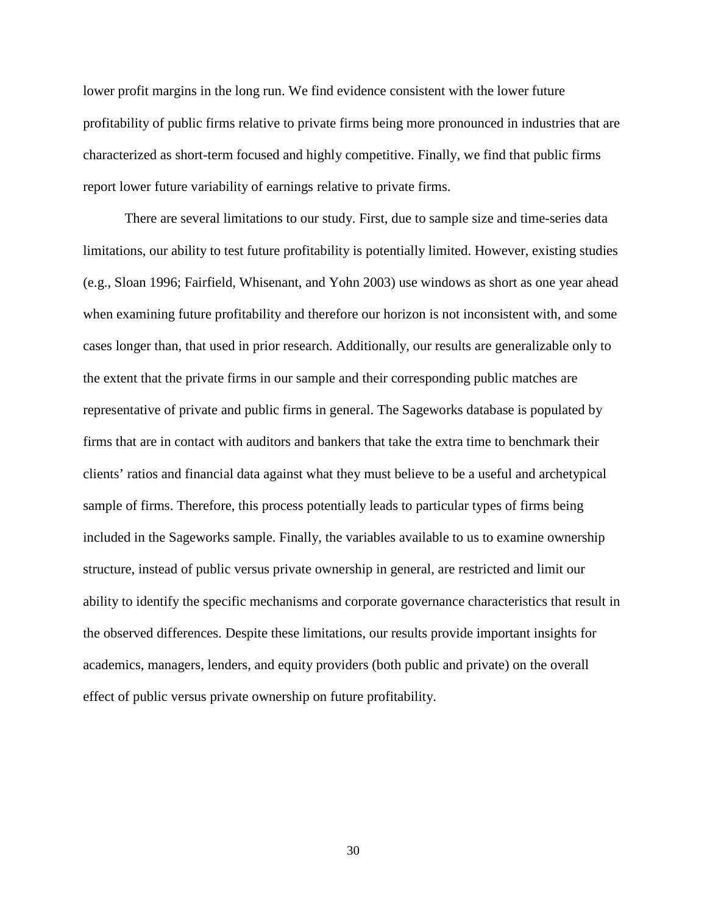lower profit margins in the long run. We find evidence consistent with the lower future profitability of public firms relative to private firms being more pronounced in industries that are characterized as short-term focused and highly competitive. Finally, we find that public firms report lower future variability of earnings relative to private firms.

There are several limitations to our study. First, due to sample size and time-series data limitations, our ability to test future profitability is potentially limited. However, existing studies (e.g., Sloan 1996; Fairfield, Whisenant, and Yohn 2003) use windows as short as one year ahead when examining future profitability and therefore our horizon is not inconsistent with, and some cases longer than, that used in prior research. Additionally, our results are generalizable only to the extent that the private firms in our sample and their corresponding public matches are representative of private and public firms in general. The Sageworks database is populated by firms that are in contact with auditors and bankers that take the extra time to benchmark their clients' ratios and financial data against what they must believe to be a useful and archetypical sample of firms. Therefore, this process potentially leads to particular types of firms being included in the Sageworks sample. Finally, the variables available to us to examine ownership structure, instead of public versus private ownership in general, are restricted and limit our ability to identify the specific mechanisms and corporate governance characteristics that result in the observed differences. Despite these limitations, our results provide important insights for academics, managers, lenders, and equity providers (both public and private) on the overall effect of public versus private ownership on future profitability.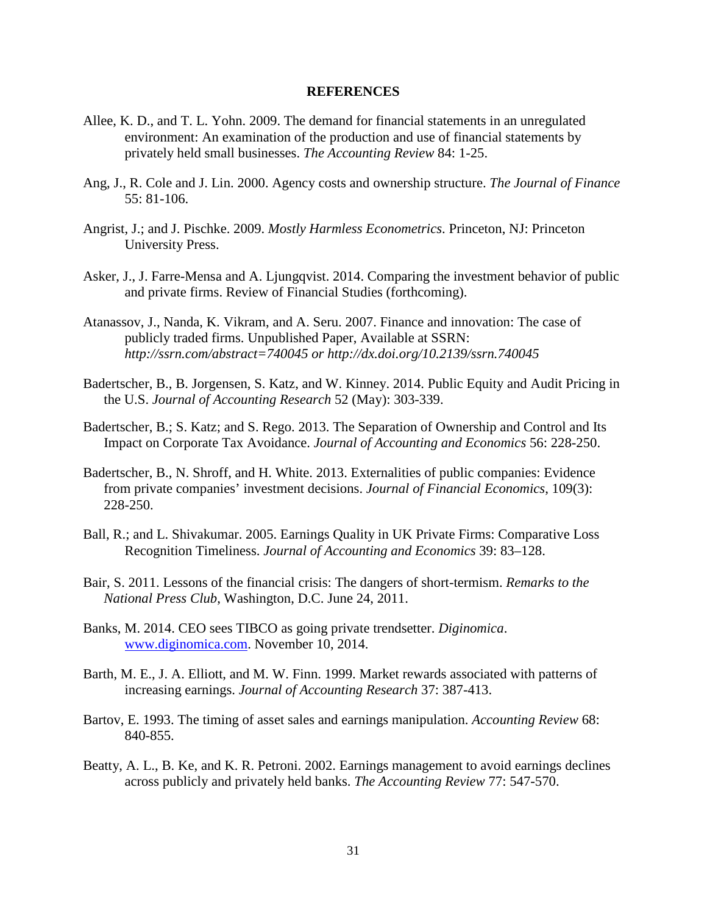#### **REFERENCES**

- Allee, K. D., and T. L. Yohn. 2009. The demand for financial statements in an unregulated environment: An examination of the production and use of financial statements by privately held small businesses. *The Accounting Review* 84: 1-25.
- Ang, J., R. Cole and J. Lin. 2000. Agency costs and ownership structure. *The Journal of Finance* 55: 81-106.
- Angrist, J.; and J. Pischke. 2009. *Mostly Harmless Econometrics*. Princeton, NJ: Princeton University Press.
- Asker, J., J. Farre-Mensa and A. Ljungqvist. 2014. Comparing the investment behavior of public and private firms. Review of Financial Studies (forthcoming).
- Atanassov, J., Nanda, K. Vikram, and A. Seru. 2007. Finance and innovation: The case of publicly traded firms. Unpublished Paper, Available at SSRN: *http://ssrn.com/abstract=740045 or http://dx.doi.org/10.2139/ssrn.740045*
- Badertscher, B., B. Jorgensen, S. Katz, and W. Kinney. 2014. Public Equity and Audit Pricing in the U.S. *Journal of Accounting Research* 52 (May): 303-339.
- Badertscher, B.; S. Katz; and S. Rego. 2013. The Separation of Ownership and Control and Its Impact on Corporate Tax Avoidance. *Journal of Accounting and Economics* 56: 228-250.
- Badertscher, B., N. Shroff, and H. White. 2013. Externalities of public companies: Evidence from private companies' investment decisions. *Journal of Financial Economics*, 109(3): 228-250.
- Ball, R.; and L. Shivakumar. 2005. Earnings Quality in UK Private Firms: Comparative Loss Recognition Timeliness. *Journal of Accounting and Economics* 39: 83–128.
- Bair, S. 2011. Lessons of the financial crisis: The dangers of short-termism. *Remarks to the National Press Club*, Washington, D.C. June 24, 2011.
- Banks, M. 2014. CEO sees TIBCO as going private trendsetter. *Diginomica*. [www.diginomica.com.](http://www.diginomica.com/) November 10, 2014.
- Barth, M. E., J. A. Elliott, and M. W. Finn. 1999. Market rewards associated with patterns of increasing earnings. *Journal of Accounting Research* 37: 387-413.
- Bartov, E. 1993. The timing of asset sales and earnings manipulation. *Accounting Review* 68: 840-855.
- Beatty, A. L., B. Ke, and K. R. Petroni. 2002. Earnings management to avoid earnings declines across publicly and privately held banks. *The Accounting Review* 77: 547-570.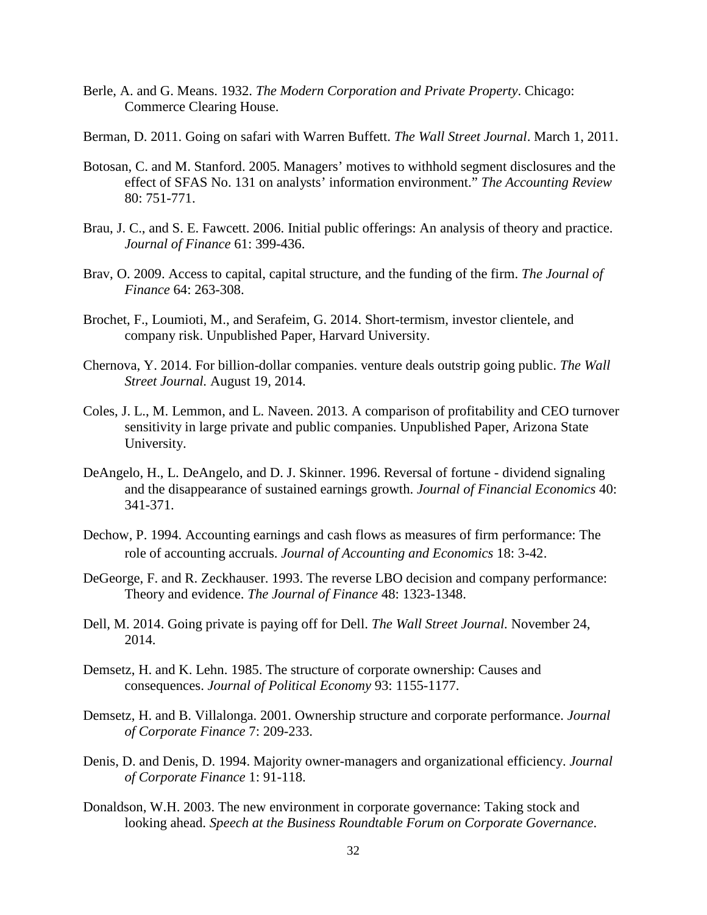- Berle, A. and G. Means. 1932. *The Modern Corporation and Private Property*. Chicago: Commerce Clearing House.
- Berman, D. 2011. Going on safari with Warren Buffett. *The Wall Street Journal*. March 1, 2011.
- Botosan, C. and M. Stanford. 2005. Managers' motives to withhold segment disclosures and the effect of SFAS No. 131 on analysts' information environment." *The Accounting Review* 80: 751-771.
- Brau, J. C., and S. E. Fawcett. 2006. Initial public offerings: An analysis of theory and practice. *Journal of Finance* 61: 399-436.
- Brav, O. 2009. Access to capital, capital structure, and the funding of the firm. *The Journal of Finance* 64: 263-308.
- Brochet, F., Loumioti, M., and Serafeim, G. 2014. Short-termism, investor clientele, and company risk. Unpublished Paper, Harvard University.
- Chernova, Y. 2014. For billion-dollar companies. venture deals outstrip going public. *The Wall Street Journal.* August 19, 2014.
- Coles, J. L., M. Lemmon, and L. Naveen. 2013. A comparison of profitability and CEO turnover sensitivity in large private and public companies. Unpublished Paper, Arizona State University.
- DeAngelo, H., L. DeAngelo, and D. J. Skinner. 1996. Reversal of fortune dividend signaling and the disappearance of sustained earnings growth. *Journal of Financial Economics* 40: 341-371.
- Dechow, P. 1994. Accounting earnings and cash flows as measures of firm performance: The role of accounting accruals. *Journal of Accounting and Economics* 18: 3-42.
- DeGeorge, F. and R. Zeckhauser. 1993. The reverse LBO decision and company performance: Theory and evidence. *The Journal of Finance* 48: 1323-1348.
- Dell, M. 2014. Going private is paying off for Dell. *The Wall Street Journal.* November 24, 2014.
- Demsetz, H. and K. Lehn. 1985. The structure of corporate ownership: Causes and consequences. *Journal of Political Economy* 93: 1155-1177.
- Demsetz, H. and B. Villalonga. 2001. Ownership structure and corporate performance. *Journal of Corporate Finance* 7: 209-233.
- Denis, D. and Denis, D. 1994. Majority owner-managers and organizational efficiency. *Journal of Corporate Finance* 1: 91-118.
- Donaldson, W.H. 2003. The new environment in corporate governance: Taking stock and looking ahead. *Speech at the Business Roundtable Forum on Corporate Governance*.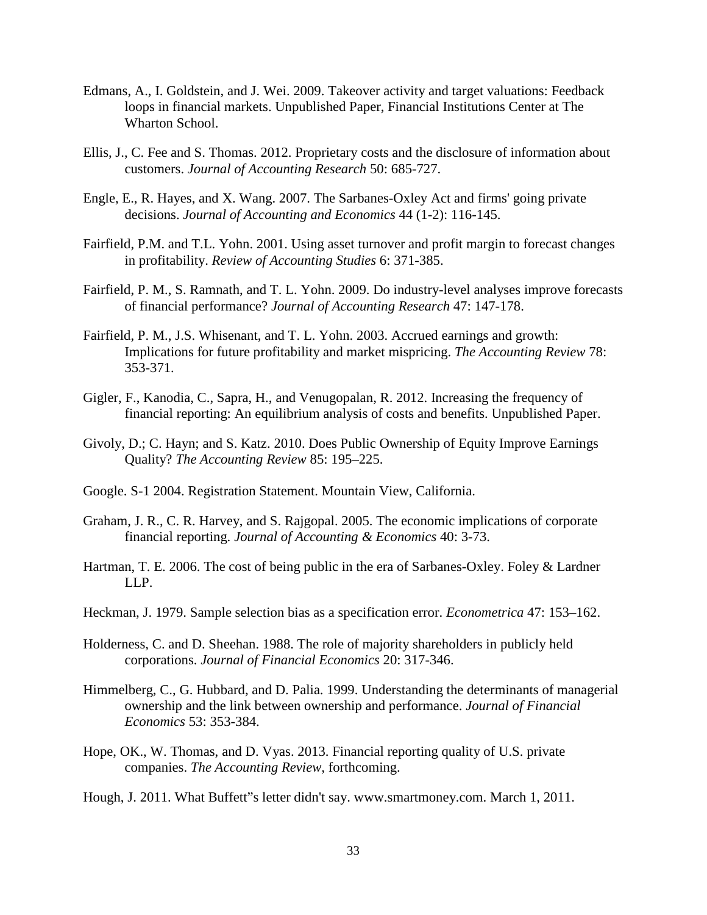- Edmans, A., I. Goldstein, and J. Wei. 2009. Takeover activity and target valuations: Feedback loops in financial markets. Unpublished Paper, Financial Institutions Center at The Wharton School.
- Ellis, J., C. Fee and S. Thomas. 2012. Proprietary costs and the disclosure of information about customers. *Journal of Accounting Research* 50: 685-727.
- Engle, E., R. Hayes, and X. Wang. 2007. The Sarbanes-Oxley Act and firms' going private decisions. *Journal of Accounting and Economics* 44 (1-2): 116-145.
- Fairfield, P.M. and T.L. Yohn. 2001. Using asset turnover and profit margin to forecast changes in profitability. *Review of Accounting Studies* 6: 371-385.
- Fairfield, P. M., S. Ramnath, and T. L. Yohn. 2009. Do industry-level analyses improve forecasts of financial performance? *Journal of Accounting Research* 47: 147-178.
- Fairfield, P. M., J.S. Whisenant, and T. L. Yohn. 2003. Accrued earnings and growth: Implications for future profitability and market mispricing. *The Accounting Review* 78: 353-371.
- Gigler, F., Kanodia, C., Sapra, H., and Venugopalan, R. 2012. Increasing the frequency of financial reporting: An equilibrium analysis of costs and benefits. Unpublished Paper.
- Givoly, D.; C. Hayn; and S. Katz. 2010. Does Public Ownership of Equity Improve Earnings Quality? *The Accounting Review* 85: 195–225.
- Google. S-1 2004. Registration Statement. Mountain View, California.
- Graham, J. R., C. R. Harvey, and S. Rajgopal. 2005. The economic implications of corporate financial reporting. *Journal of Accounting & Economics* 40: 3-73.
- Hartman, T. E. 2006. The cost of being public in the era of Sarbanes-Oxley. Foley & Lardner LLP.
- Heckman, J. 1979. Sample selection bias as a specification error. *Econometrica* 47: 153–162.
- Holderness, C. and D. Sheehan. 1988. The role of majority shareholders in publicly held corporations. *Journal of Financial Economics* 20: 317-346.
- Himmelberg, C., G. Hubbard, and D. Palia. 1999. Understanding the determinants of managerial ownership and the link between ownership and performance. *Journal of Financial Economics* 53: 353-384.
- Hope, OK., W. Thomas, and D. Vyas. 2013. Financial reporting quality of U.S. private companies. *The Accounting Review,* forthcoming.
- Hough, J. 2011. What Buffett"s letter didn't say. www.smartmoney.com. March 1, 2011.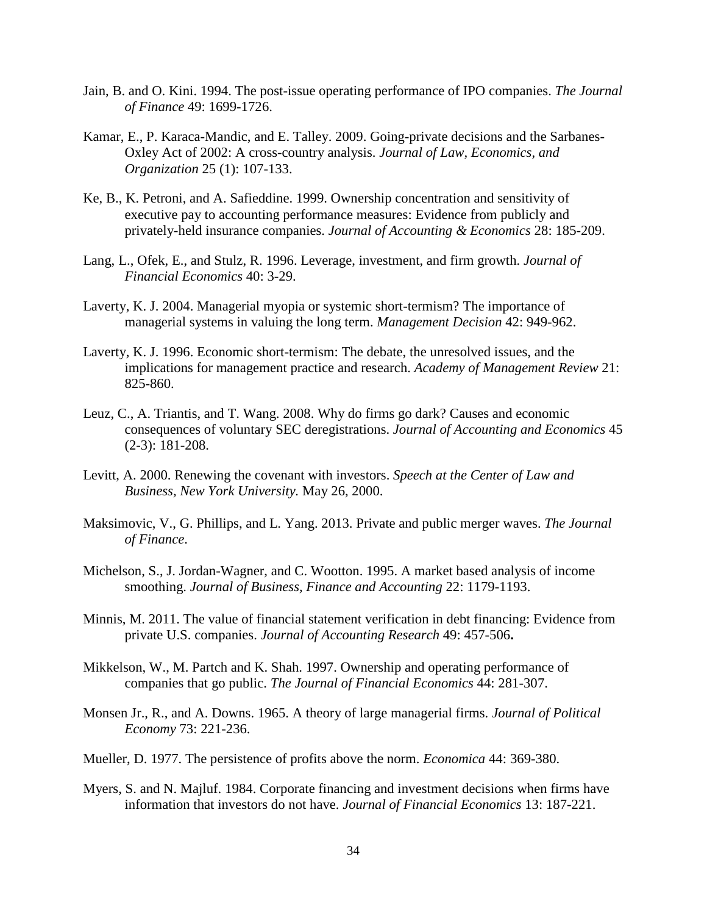- Jain, B. and O. Kini. 1994. The post-issue operating performance of IPO companies. *The Journal of Finance* 49: 1699-1726.
- Kamar, E., P. Karaca-Mandic, and E. Talley. 2009. Going-private decisions and the Sarbanes-Oxley Act of 2002: A cross-country analysis. *Journal of Law, Economics, and Organization* 25 (1): 107-133.
- Ke, B., K. Petroni, and A. Safieddine. 1999. Ownership concentration and sensitivity of executive pay to accounting performance measures: Evidence from publicly and privately-held insurance companies. *Journal of Accounting & Economics* 28: 185-209.
- Lang, L., Ofek, E., and Stulz, R. 1996. Leverage, investment, and firm growth. *Journal of Financial Economics* 40: 3-29.
- Laverty, K. J. 2004. Managerial myopia or systemic short-termism? The importance of managerial systems in valuing the long term. *Management Decision* 42: 949-962.
- Laverty, K. J. 1996. Economic short-termism: The debate, the unresolved issues, and the implications for management practice and research. *Academy of Management Review* 21: 825-860.
- Leuz, C., A. Triantis, and T. Wang. 2008. Why do firms go dark? Causes and economic consequences of voluntary SEC deregistrations. *Journal of Accounting and Economics* 45 (2-3): 181-208.
- Levitt, A. 2000. Renewing the covenant with investors. *Speech at the Center of Law and Business, New York University.* May 26, 2000.
- Maksimovic, V., G. Phillips, and L. Yang. 2013. Private and public merger waves. *The Journal of Finance*.
- Michelson, S., J. Jordan-Wagner, and C. Wootton. 1995. A market based analysis of income smoothing. *Journal of Business, Finance and Accounting* 22: 1179-1193.
- Minnis, M. 2011. The value of financial statement verification in debt financing: Evidence from private U.S. companies. *Journal of Accounting Research* 49: 457-506**.**
- Mikkelson, W., M. Partch and K. Shah. 1997. Ownership and operating performance of companies that go public. *The Journal of Financial Economics* 44: 281-307.
- Monsen Jr., R., and A. Downs. 1965. A theory of large managerial firms. *Journal of Political Economy* 73: 221-236.
- Mueller, D. 1977. The persistence of profits above the norm. *Economica* 44: 369-380.
- Myers, S. and N. Majluf. 1984. Corporate financing and investment decisions when firms have information that investors do not have. *Journal of Financial Economics* 13: 187-221.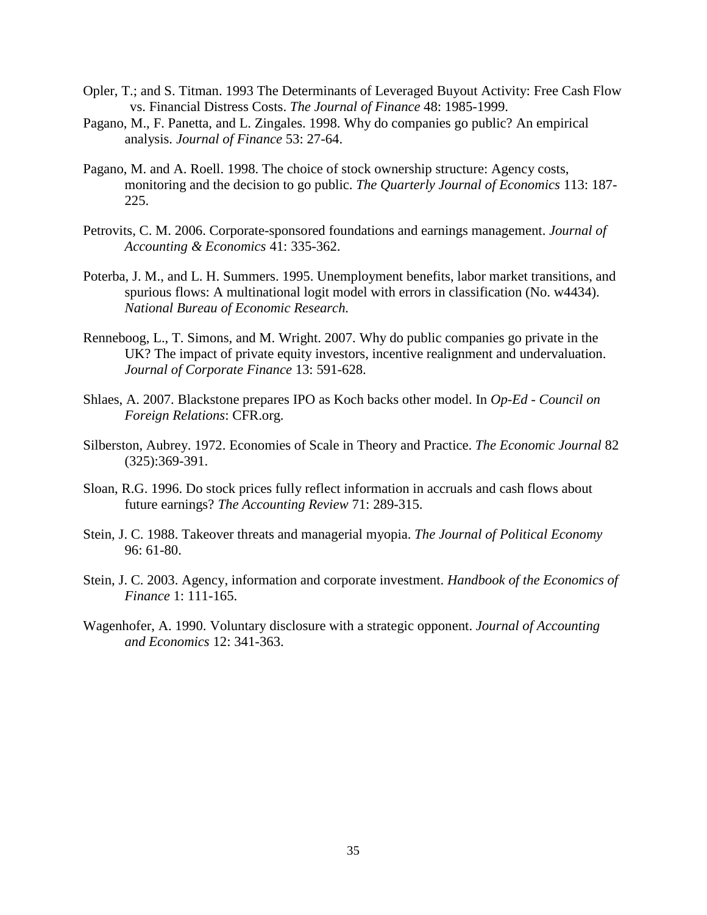- Opler, T.; and S. Titman. 1993 The Determinants of Leveraged Buyout Activity: Free Cash Flow vs. Financial Distress Costs. *The Journal of Finance* 48: 1985-1999.
- Pagano, M., F. Panetta, and L. Zingales. 1998. Why do companies go public? An empirical analysis. *Journal of Finance* 53: 27-64.
- Pagano, M. and A. Roell. 1998. The choice of stock ownership structure: Agency costs, monitoring and the decision to go public. *The Quarterly Journal of Economics* 113: 187- 225.
- Petrovits, C. M. 2006. Corporate-sponsored foundations and earnings management. *Journal of Accounting & Economics* 41: 335-362.
- Poterba, J. M., and L. H. Summers. 1995. Unemployment benefits, labor market transitions, and spurious flows: A multinational logit model with errors in classification (No. w4434). *National Bureau of Economic Research.*
- Renneboog, L., T. Simons, and M. Wright. 2007. Why do public companies go private in the UK? The impact of private equity investors, incentive realignment and undervaluation. *Journal of Corporate Finance* 13: 591-628.
- Shlaes, A. 2007. Blackstone prepares IPO as Koch backs other model. In *Op-Ed - Council on Foreign Relations*: CFR.org.
- Silberston, Aubrey. 1972. Economies of Scale in Theory and Practice. *The Economic Journal* 82 (325):369-391.
- Sloan, R.G. 1996. Do stock prices fully reflect information in accruals and cash flows about future earnings? *The Accounting Review* 71: 289-315.
- Stein, J. C. 1988. Takeover threats and managerial myopia. *The Journal of Political Economy* 96: 61-80.
- Stein, J. C. 2003. Agency, information and corporate investment. *Handbook of the Economics of Finance* 1: 111-165.
- Wagenhofer, A. 1990. Voluntary disclosure with a strategic opponent. *Journal of Accounting and Economics* 12: 341-363.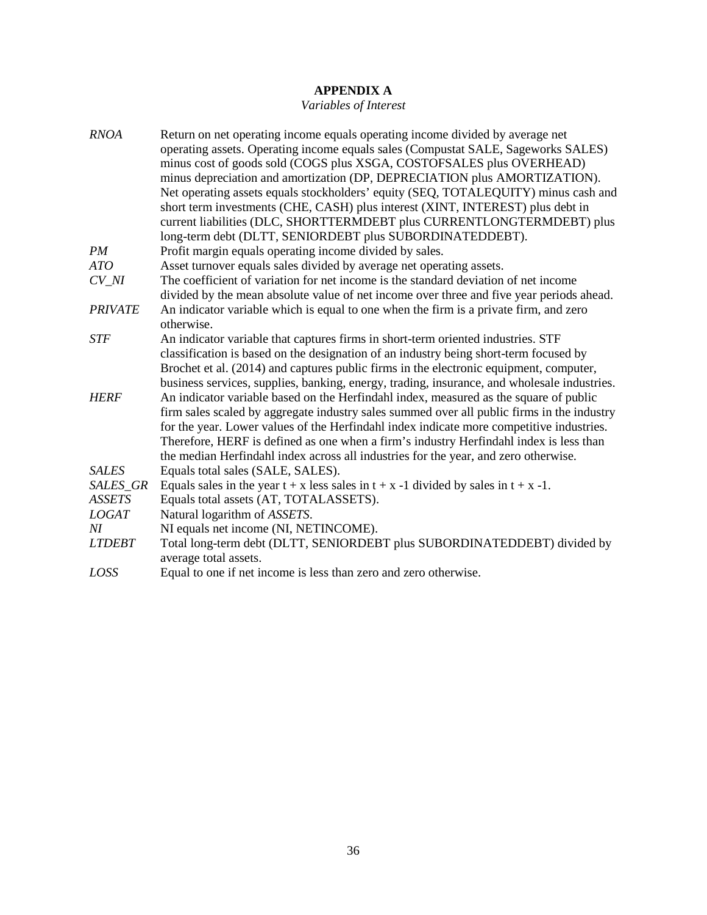# **APPENDIX A**

# *Variables of Interest*

| <b>RNOA</b>    | Return on net operating income equals operating income divided by average net<br>operating assets. Operating income equals sales (Compustat SALE, Sageworks SALES)<br>minus cost of goods sold (COGS plus XSGA, COSTOFSALES plus OVERHEAD)<br>minus depreciation and amortization (DP, DEPRECIATION plus AMORTIZATION).<br>Net operating assets equals stockholders' equity (SEQ, TOTALEQUITY) minus cash and<br>short term investments (CHE, CASH) plus interest (XINT, INTEREST) plus debt in<br>current liabilities (DLC, SHORTTERMDEBT plus CURRENTLONGTERMDEBT) plus |
|----------------|---------------------------------------------------------------------------------------------------------------------------------------------------------------------------------------------------------------------------------------------------------------------------------------------------------------------------------------------------------------------------------------------------------------------------------------------------------------------------------------------------------------------------------------------------------------------------|
|                | long-term debt (DLTT, SENIORDEBT plus SUBORDINATEDDEBT).                                                                                                                                                                                                                                                                                                                                                                                                                                                                                                                  |
| PM             | Profit margin equals operating income divided by sales.                                                                                                                                                                                                                                                                                                                                                                                                                                                                                                                   |
| ATO            | Asset turnover equals sales divided by average net operating assets.                                                                                                                                                                                                                                                                                                                                                                                                                                                                                                      |
| CV NI          | The coefficient of variation for net income is the standard deviation of net income                                                                                                                                                                                                                                                                                                                                                                                                                                                                                       |
|                | divided by the mean absolute value of net income over three and five year periods ahead.                                                                                                                                                                                                                                                                                                                                                                                                                                                                                  |
| <b>PRIVATE</b> | An indicator variable which is equal to one when the firm is a private firm, and zero<br>otherwise.                                                                                                                                                                                                                                                                                                                                                                                                                                                                       |
| <b>STF</b>     | An indicator variable that captures firms in short-term oriented industries. STF                                                                                                                                                                                                                                                                                                                                                                                                                                                                                          |
|                | classification is based on the designation of an industry being short-term focused by                                                                                                                                                                                                                                                                                                                                                                                                                                                                                     |
|                | Brochet et al. (2014) and captures public firms in the electronic equipment, computer,                                                                                                                                                                                                                                                                                                                                                                                                                                                                                    |
|                | business services, supplies, banking, energy, trading, insurance, and wholesale industries.                                                                                                                                                                                                                                                                                                                                                                                                                                                                               |
| <b>HERF</b>    | An indicator variable based on the Herfindahl index, measured as the square of public                                                                                                                                                                                                                                                                                                                                                                                                                                                                                     |
|                | firm sales scaled by aggregate industry sales summed over all public firms in the industry                                                                                                                                                                                                                                                                                                                                                                                                                                                                                |
|                | for the year. Lower values of the Herfindahl index indicate more competitive industries.                                                                                                                                                                                                                                                                                                                                                                                                                                                                                  |
|                | Therefore, HERF is defined as one when a firm's industry Herfindahl index is less than                                                                                                                                                                                                                                                                                                                                                                                                                                                                                    |
|                | the median Herfindahl index across all industries for the year, and zero otherwise.                                                                                                                                                                                                                                                                                                                                                                                                                                                                                       |
| <b>SALES</b>   | Equals total sales (SALE, SALES).                                                                                                                                                                                                                                                                                                                                                                                                                                                                                                                                         |
| SALES_GR       | Equals sales in the year $t + x$ less sales in $t + x - 1$ divided by sales in $t + x - 1$ .                                                                                                                                                                                                                                                                                                                                                                                                                                                                              |
| <b>ASSETS</b>  | Equals total assets (AT, TOTALASSETS).                                                                                                                                                                                                                                                                                                                                                                                                                                                                                                                                    |
| <b>LOGAT</b>   | Natural logarithm of ASSETS.                                                                                                                                                                                                                                                                                                                                                                                                                                                                                                                                              |
| ΝI             | NI equals net income (NI, NETINCOME).                                                                                                                                                                                                                                                                                                                                                                                                                                                                                                                                     |
| <b>LTDEBT</b>  | Total long-term debt (DLTT, SENIORDEBT plus SUBORDINATEDDEBT) divided by<br>average total assets.                                                                                                                                                                                                                                                                                                                                                                                                                                                                         |
| LOSS           | Equal to one if net income is less than zero and zero otherwise.                                                                                                                                                                                                                                                                                                                                                                                                                                                                                                          |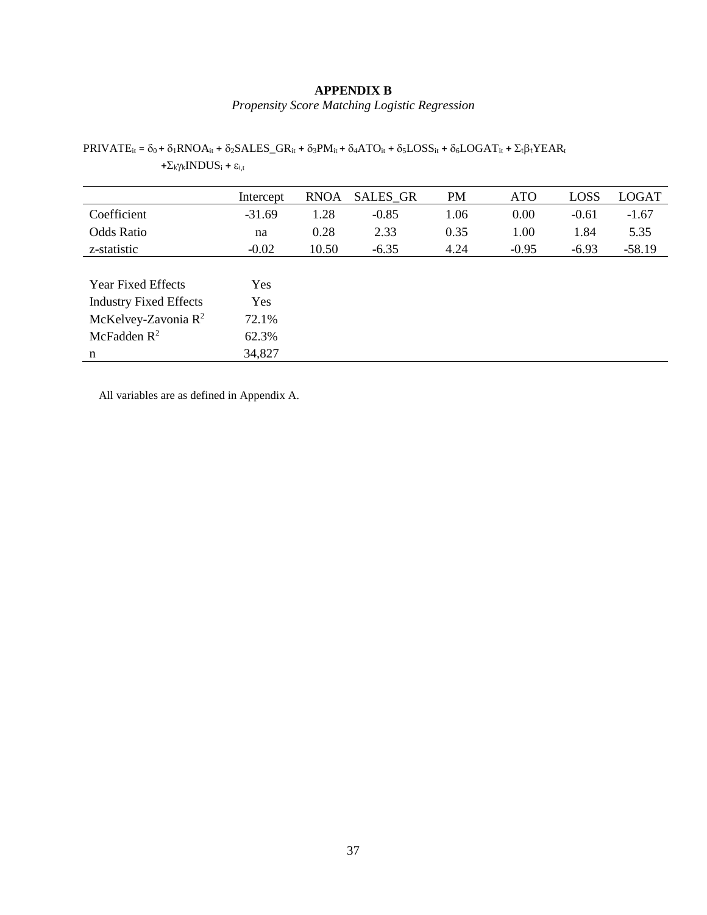#### **APPENDIX B**

*Propensity Score Matching Logistic Regression*

PRIVATEit = δ0 + δ1RNOAit + δ2SALES\_GRit + δ3PMit + δ4ATOit + δ5LOSSit + δ6LOGATit + ΣtβtYEARt +Σ<sub>kγk</sub>INDUS<sub>i</sub> + ε<sub>i,t</sub>

|                               | Intercept | <b>RNOA</b> | <b>SALES GR</b> | <b>PM</b> | <b>ATO</b> | LOSS    | <b>LOGAT</b> |
|-------------------------------|-----------|-------------|-----------------|-----------|------------|---------|--------------|
| Coefficient                   | $-31.69$  | 1.28        | $-0.85$         | 1.06      | 0.00       | $-0.61$ | $-1.67$      |
| <b>Odds Ratio</b>             | na        | 0.28        | 2.33            | 0.35      | 1.00       | 1.84    | 5.35         |
| z-statistic                   | $-0.02$   | 10.50       | $-6.35$         | 4.24      | $-0.95$    | $-6.93$ | $-58.19$     |
|                               |           |             |                 |           |            |         |              |
| <b>Year Fixed Effects</b>     | Yes       |             |                 |           |            |         |              |
| <b>Industry Fixed Effects</b> | Yes       |             |                 |           |            |         |              |
| McKelvey-Zavonia $R^2$        | 72.1%     |             |                 |           |            |         |              |
| McFadden $R^2$                | 62.3%     |             |                 |           |            |         |              |
| n                             | 34,827    |             |                 |           |            |         |              |

All variables are as defined in Appendix A.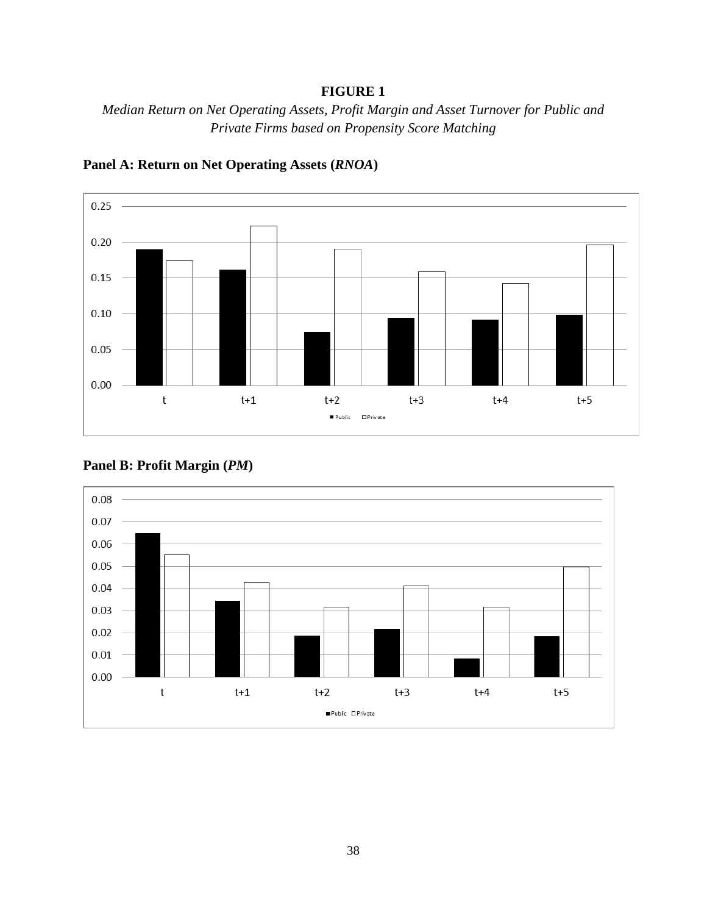# **FIGURE 1**

*Median Return on Net Operating Assets, Profit Margin and Asset Turnover for Public and Private Firms based on Propensity Score Matching*



**Panel A: Return on Net Operating Assets (***RNOA***)**



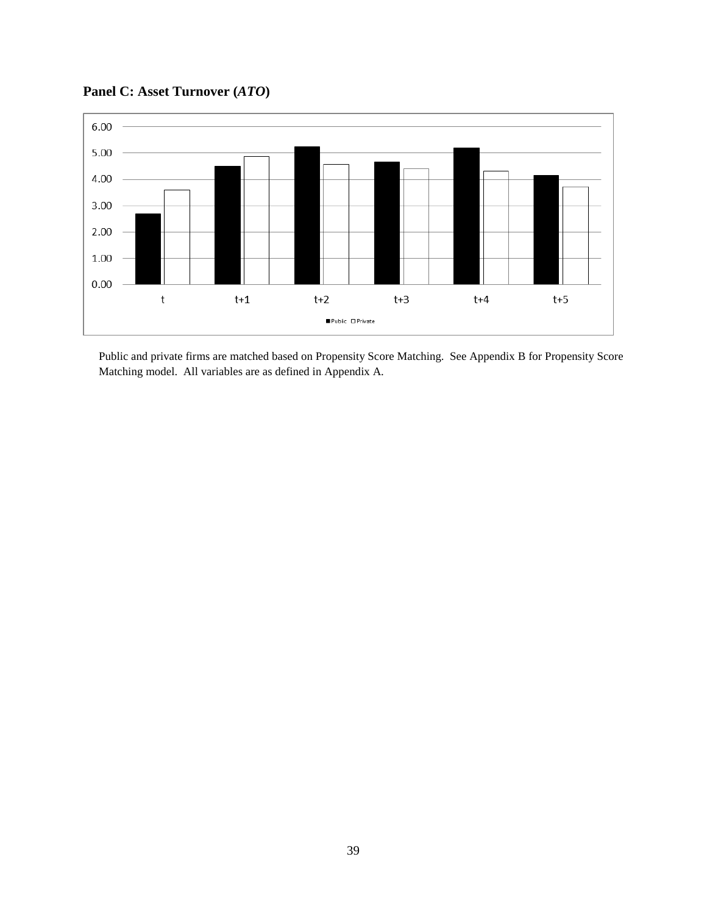**Panel C: Asset Turnover (***ATO***)**



Public and private firms are matched based on Propensity Score Matching. See Appendix B for Propensity Score Matching model. All variables are as defined in Appendix A.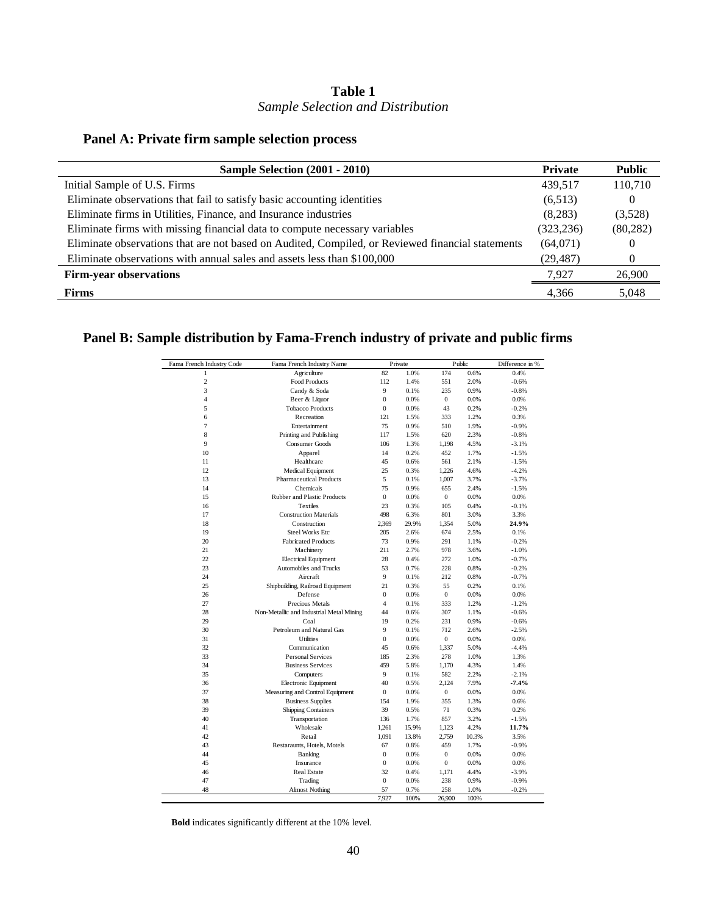# **Table 1** *Sample Selection and Distribution*

# **Panel A: Private firm sample selection process**

| Sample Selection (2001 - 2010)                                                                   | <b>Private</b> | <b>Public</b> |
|--------------------------------------------------------------------------------------------------|----------------|---------------|
| Initial Sample of U.S. Firms                                                                     | 439,517        | 110,710       |
| Eliminate observations that fail to satisfy basic accounting identities                          | (6,513)        | $\theta$      |
| Eliminate firms in Utilities, Finance, and Insurance industries                                  | (8,283)        | (3,528)       |
| Eliminate firms with missing financial data to compute necessary variables                       | (323, 236)     | (80, 282)     |
| Eliminate observations that are not based on Audited, Compiled, or Reviewed financial statements | (64,071)       | 0             |
| Eliminate observations with annual sales and assets less than \$100,000                          | (29, 487)      | 0             |
| <b>Firm-year observations</b>                                                                    | 7,927          | 26,900        |
| <b>Firms</b>                                                                                     | 4,366          | 5,048         |

# **Panel B: Sample distribution by Fama-French industry of private and public firms**

| Fama French Industry Code | Fama French Industry Name                |                  | Private | Public           |       | Difference in % |
|---------------------------|------------------------------------------|------------------|---------|------------------|-------|-----------------|
| 1                         | Agriculture                              | 82               | 1.0%    | 174              | 0.6%  | 0.4%            |
| $\overline{c}$            | Food Products                            | 112              | 1.4%    | 551              | 2.0%  | $-0.6%$         |
| 3                         | Candy & Soda                             | 9                | 0.1%    | 235              | 0.9%  | $-0.8%$         |
| $\overline{4}$            | Beer & Liquor                            | $\overline{0}$   | 0.0%    | $\mathbf{0}$     | 0.0%  | 0.0%            |
| 5                         | <b>Tobacco Products</b>                  | $\boldsymbol{0}$ | 0.0%    | 43               | 0.2%  | $-0.2%$         |
| 6                         | Recreation                               | 121              | 1.5%    | 333              | 1.2%  | 0.3%            |
| 7                         | Entertainment                            | 75               | 0.9%    | 510              | 1.9%  | $-0.9%$         |
| 8                         | Printing and Publishing                  | 117              | 1.5%    | 620              | 2.3%  | $-0.8%$         |
| 9                         | <b>Consumer Goods</b>                    | 106              | 1.3%    | 1,198            | 4.5%  | $-3.1%$         |
| 10                        | Apparel                                  | 14               | 0.2%    | 452              | 1.7%  | $-1.5%$         |
| 11                        | Healthcare                               | 45               | 0.6%    | 561              | 2.1%  | $-1.5%$         |
| 12                        | Medical Equipment                        | 25               | 0.3%    | 1,226            | 4.6%  | $-4.2%$         |
| 13                        | <b>Pharmaceutical Products</b>           | 5                | 0.1%    | 1,007            | 3.7%  | $-3.7%$         |
| 14                        | Chemicals                                | 75               | 0.9%    | 655              | 2.4%  | $-1.5%$         |
| 15                        | Rubber and Plastic Products              | $\overline{0}$   | 0.0%    | $\mathbf{0}$     | 0.0%  | 0.0%            |
| 16                        | Textiles                                 | 23               | 0.3%    | 105              | 0.4%  | $-0.1%$         |
| 17                        | <b>Construction Materials</b>            | 498              | 6.3%    | 801              | 3.0%  | 3.3%            |
| 18                        | Construction                             | 2,369            | 29.9%   | 1,354            | 5.0%  | 24.9%           |
| 19                        | <b>Steel Works Etc</b>                   | 205              | 2.6%    | 674              | 2.5%  | 0.1%            |
| 20                        | <b>Fabricated Products</b>               | 73               | 0.9%    | 291              | 1.1%  | $-0.2%$         |
| 21                        | Machinery                                | 211              | 2.7%    | 978              | 3.6%  | $-1.0%$         |
| 22                        | <b>Electrical Equipment</b>              | 28               | 0.4%    | 272              | 1.0%  | $-0.7%$         |
| 23                        | Automobiles and Trucks                   | 53               | 0.7%    | 228              | 0.8%  | $-0.2%$         |
| 24                        | Aircraft                                 | 9                | 0.1%    | 212              | 0.8%  | $-0.7%$         |
| 25                        | Shipbuilding, Railroad Equipment         | 21               | 0.3%    | 55               | 0.2%  | 0.1%            |
| 26                        | Defense                                  | $\mathbf{0}$     | 0.0%    | $\overline{0}$   | 0.0%  | 0.0%            |
| 27                        | Precious Metals                          | $\overline{4}$   | 0.1%    | 333              | 1.2%  | $-1.2%$         |
| 28                        | Non-Metallic and Industrial Metal Mining | 44               | 0.6%    | 307              | 1.1%  | $-0.6%$         |
| 29                        | Coal                                     | 19               | 0.2%    | 231              | 0.9%  | $-0.6%$         |
| 30                        | Petroleum and Natural Gas                | 9                | 0.1%    | 712              | 2.6%  | $-2.5%$         |
| 31                        | <b>Utilities</b>                         | $\Omega$         | 0.0%    | $\overline{0}$   | 0.0%  | 0.0%            |
| 32                        | Communication                            | 45               | 0.6%    | 1,337            | 5.0%  | $-4.4%$         |
| 33                        | <b>Personal Services</b>                 | 185              | 2.3%    | 278              | 1.0%  | 1.3%            |
| 34                        | <b>Business Services</b>                 | 459              | 5.8%    | 1,170            | 4.3%  | 1.4%            |
| 35                        | Computers                                | 9                | 0.1%    | 582              | 2.2%  | $-2.1%$         |
| 36                        | Electronic Equipment                     | 40               | 0.5%    | 2.124            | 7.9%  | $-7.4%$         |
| 37                        | Measuring and Control Equipment          | $\mathbf{0}$     | 0.0%    | $\overline{0}$   | 0.0%  | 0.0%            |
| 38                        | <b>Business Supplies</b>                 | 154              | 1.9%    | 355              | 1.3%  | 0.6%            |
| 39                        | <b>Shipping Containers</b>               | 39               | 0.5%    | 71               | 0.3%  | 0.2%            |
| 40                        | Transportation                           | 136              | 1.7%    | 857              | 3.2%  | $-1.5%$         |
| 41                        | Wholesale                                | 1,261            | 15.9%   | 1,123            | 4.2%  | 11.7%           |
| 42                        | Retail                                   | 1,091            | 13.8%   | 2,759            | 10.3% | 3.5%            |
| 43                        | Restaraunts, Hotels, Motels              | 67               | 0.8%    | 459              | 1.7%  | $-0.9%$         |
| 44                        | Banking                                  | $\mathbf{0}$     | 0.0%    | $\boldsymbol{0}$ | 0.0%  | 0.0%            |
| 45                        | Insurance                                | $\mathbf{0}$     | 0.0%    | $\mathbf{0}$     | 0.0%  | 0.0%            |
| 46                        | <b>Real Estate</b>                       | 32               | 0.4%    | 1,171            | 4.4%  | $-3.9%$         |
| 47                        | Trading                                  | $\mathbf{0}$     | 0.0%    | 238              | 0.9%  | $-0.9%$         |
| 48                        | <b>Almost Nothing</b>                    | 57               | 0.7%    | 258              | 1.0%  | $-0.2%$         |
|                           |                                          | 7,927            | 100%    | 26,900           | 100%  |                 |

**Bold** indicates significantly different at the 10% level.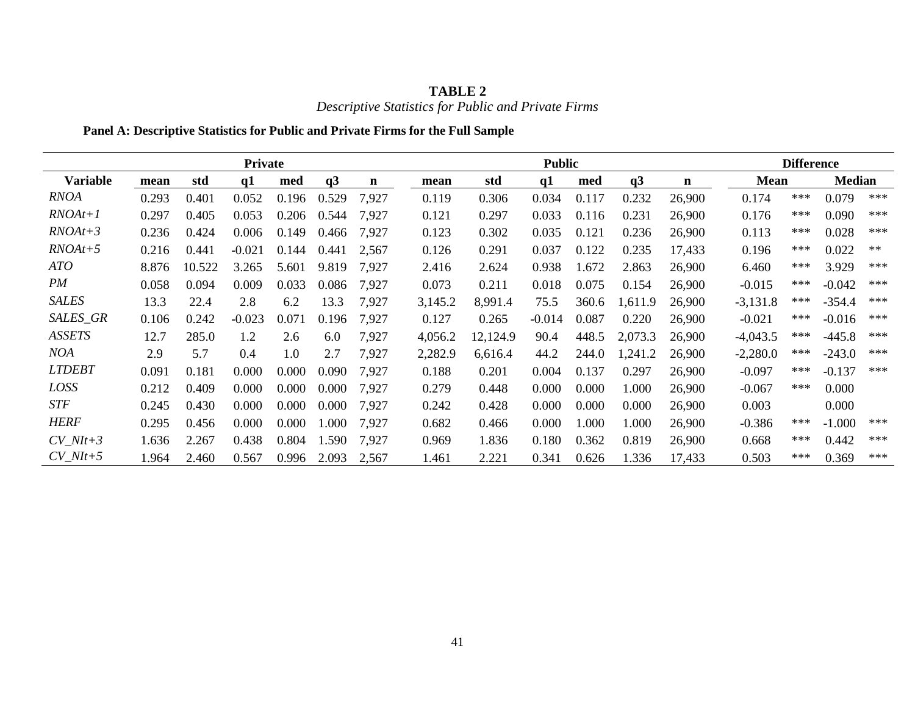| <b>TABLE 2</b>                                      |
|-----------------------------------------------------|
| Descriptive Statistics for Public and Private Firms |

# **Panel A: Descriptive Statistics for Public and Private Firms for the Full Sample**

|                 | Private |        |          |       |       |       |         |          | <b>Public</b> |       | <b>Difference</b> |        |             |       |               |       |
|-----------------|---------|--------|----------|-------|-------|-------|---------|----------|---------------|-------|-------------------|--------|-------------|-------|---------------|-------|
| <b>Variable</b> | mean    | std    | q1       | med   | q3    | n     | mean    | std      | q1            | med   | q3                | n      | <b>Mean</b> |       | <b>Median</b> |       |
| <b>RNOA</b>     | 0.293   | 0.401  | 0.052    | 0.196 | 0.529 | 7,927 | 0.119   | 0.306    | 0.034         | 0.117 | 0.232             | 26,900 | 0.174       | $***$ | 0.079         | ***   |
| $RNOAt+1$       | 0.297   | 0.405  | 0.053    | 0.206 | 0.544 | 7,927 | 0.121   | 0.297    | 0.033         | 0.116 | 0.231             | 26,900 | 0.176       | $***$ | 0.090         | ***   |
| $RNOAt+3$       | 0.236   | 0.424  | 0.006    | 0.149 | 0.466 | 7,927 | 0.123   | 0.302    | 0.035         | 0.121 | 0.236             | 26,900 | 0.113       | ***   | 0.028         | $***$ |
| $RNOAt+5$       | 0.216   | 0.441  | $-0.021$ | 0.144 | 0.441 | 2,567 | 0.126   | 0.291    | 0.037         | 0.122 | 0.235             | 17,433 | 0.196       | ***   | 0.022         | $**$  |
| ATO             | 8.876   | 10.522 | 3.265    | 5.601 | 9.819 | 7,927 | 2.416   | 2.624    | 0.938         | 1.672 | 2.863             | 26,900 | 6.460       | $***$ | 3.929         | $***$ |
| PM              | 0.058   | 0.094  | 0.009    | 0.033 | 0.086 | 7,927 | 0.073   | 0.211    | 0.018         | 0.075 | 0.154             | 26,900 | $-0.015$    | $***$ | $-0.042$      | $***$ |
| <b>SALES</b>    | 13.3    | 22.4   | 2.8      | 6.2   | 13.3  | 7,927 | 3,145.2 | 8,991.4  | 75.5          | 360.6 | 1,611.9           | 26,900 | $-3,131.8$  | ***   | $-354.4$      | ***   |
| SALES_GR        | 0.106   | 0.242  | $-0.023$ | 0.071 | 0.196 | 7,927 | 0.127   | 0.265    | $-0.014$      | 0.087 | 0.220             | 26,900 | $-0.021$    | $***$ | $-0.016$      | $***$ |
| <b>ASSETS</b>   | 12.7    | 285.0  | 1.2      | 2.6   | 6.0   | 7,927 | 4,056.2 | 12,124.9 | 90.4          | 448.5 | 2,073.3           | 26,900 | $-4,043.5$  | ***   | $-445.8$      | $***$ |
| NOA             | 2.9     | 5.7    | 0.4      | 1.0   | 2.7   | 7,927 | 2,282.9 | 6,616.4  | 44.2          | 244.0 | 1,241.2           | 26,900 | $-2,280.0$  | ***   | $-243.0$      | $***$ |
| <b>LTDEBT</b>   | 0.091   | 0.181  | 0.000    | 0.000 | 0.090 | 7,927 | 0.188   | 0.201    | 0.004         | 0.137 | 0.297             | 26,900 | $-0.097$    | ***   | $-0.137$      | $***$ |
| LOSS            | 0.212   | 0.409  | 0.000    | 0.000 | 0.000 | 7,927 | 0.279   | 0.448    | 0.000         | 0.000 | 1.000             | 26,900 | $-0.067$    | $***$ | 0.000         |       |
| <b>STF</b>      | 0.245   | 0.430  | 0.000    | 0.000 | 0.000 | 7,927 | 0.242   | 0.428    | 0.000         | 0.000 | 0.000             | 26,900 | 0.003       |       | 0.000         |       |
| <b>HERF</b>     | 0.295   | 0.456  | 0.000    | 0.000 | .000  | 7,927 | 0.682   | 0.466    | 0.000         | 1.000 | 1.000             | 26,900 | $-0.386$    | ***   | $-1.000$      | $***$ |
| $CV\_NIt+3$     | 1.636   | 2.267  | 0.438    | 0.804 | 1.590 | 7,927 | 0.969   | 1.836    | 0.180         | 0.362 | 0.819             | 26,900 | 0.668       | $***$ | 0.442         | $***$ |
| $CV$ $Nlt+5$    | 1.964   | 2.460  | 0.567    | 0.996 | 2.093 | 2,567 | 1.461   | 2.221    | 0.341         | 0.626 | 1.336             | 17,433 | 0.503       | $***$ | 0.369         | $***$ |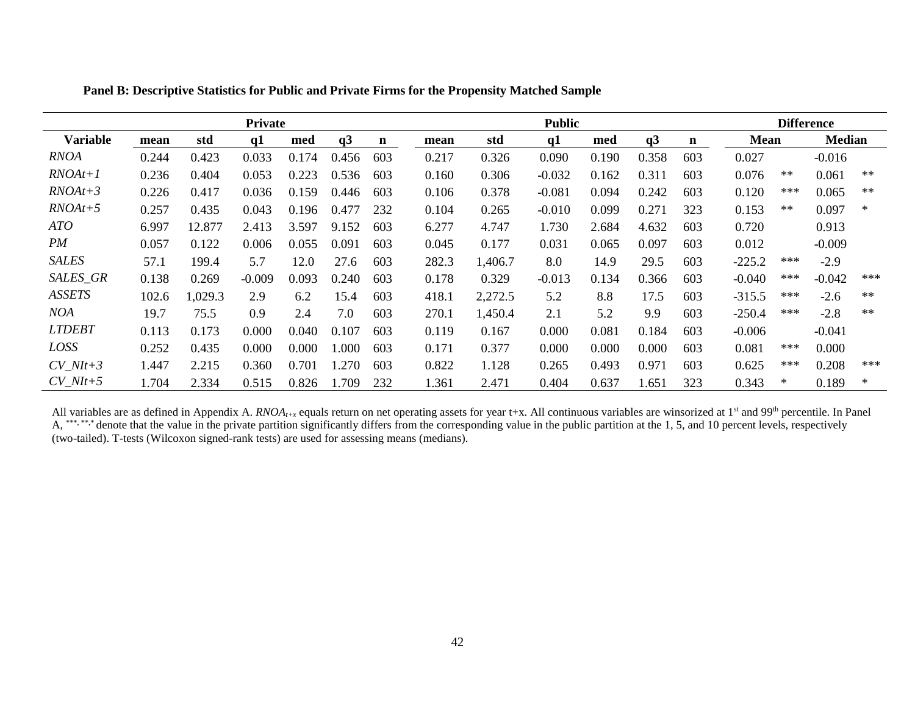|                 | Private |         |          |       |                |     |       |         | <b>Public</b> |       |       |             |          |        | <b>Difference</b> |        |
|-----------------|---------|---------|----------|-------|----------------|-----|-------|---------|---------------|-------|-------|-------------|----------|--------|-------------------|--------|
| <b>Variable</b> | mean    | std     | q1       | med   | q <sub>3</sub> | n   | mean  | std     | q1            | med   | q3    | $\mathbf n$ | Mean     |        | <b>Median</b>     |        |
| RNOA            | 0.244   | 0.423   | 0.033    | 0.174 | 0.456          | 603 | 0.217 | 0.326   | 0.090         | 0.190 | 0.358 | 603         | 0.027    |        | $-0.016$          |        |
| $RNOAt+1$       | 0.236   | 0.404   | 0.053    | 0.223 | 0.536          | 603 | 0.160 | 0.306   | $-0.032$      | 0.162 | 0.311 | 603         | 0.076    | $***$  | 0.061             | $**$   |
| $RNOAt+3$       | 0.226   | 0.417   | 0.036    | 0.159 | 0.446          | 603 | 0.106 | 0.378   | $-0.081$      | 0.094 | 0.242 | 603         | 0.120    | ***    | 0.065             | $**$   |
| $RNOAt+5$       | 0.257   | 0.435   | 0.043    | 0.196 | 0.477          | 232 | 0.104 | 0.265   | $-0.010$      | 0.099 | 0.271 | 323         | 0.153    | $***$  | 0.097             | ∗      |
| ATO             | 6.997   | 12.877  | 2.413    | 3.597 | 9.152          | 603 | 6.277 | 4.747   | 1.730         | 2.684 | 4.632 | 603         | 0.720    |        | 0.913             |        |
| PM              | 0.057   | 0.122   | 0.006    | 0.055 | 0.091          | 603 | 0.045 | 0.177   | 0.031         | 0.065 | 0.097 | 603         | 0.012    |        | $-0.009$          |        |
| <b>SALES</b>    | 57.1    | 199.4   | 5.7      | 12.0  | 27.6           | 603 | 282.3 | 1,406.7 | 8.0           | 14.9  | 29.5  | 603         | $-225.2$ | ***    | $-2.9$            |        |
| SALES_GR        | 0.138   | 0.269   | $-0.009$ | 0.093 | 0.240          | 603 | 0.178 | 0.329   | $-0.013$      | 0.134 | 0.366 | 603         | $-0.040$ | $***$  | $-0.042$          | ***    |
| <b>ASSETS</b>   | 102.6   | 1,029.3 | 2.9      | 6.2   | 15.4           | 603 | 418.1 | 2,272.5 | 5.2           | 8.8   | 17.5  | 603         | $-315.5$ | ***    | $-2.6$            | $**$   |
| NOA             | 19.7    | 75.5    | 0.9      | 2.4   | 7.0            | 603 | 270.1 | 1,450.4 | 2.1           | 5.2   | 9.9   | 603         | $-250.4$ | ***    | $-2.8$            | $***$  |
| <b>LTDEBT</b>   | 0.113   | 0.173   | 0.000    | 0.040 | 0.107          | 603 | 0.119 | 0.167   | 0.000         | 0.081 | 0.184 | 603         | $-0.006$ |        | $-0.041$          |        |
| LOSS            | 0.252   | 0.435   | 0.000    | 0.000 | 1.000          | 603 | 0.171 | 0.377   | 0.000         | 0.000 | 0.000 | 603         | 0.081    | ***    | 0.000             |        |
| $CV\_NIt+3$     | 1.447   | 2.215   | 0.360    | 0.701 | 1.270          | 603 | 0.822 | 1.128   | 0.265         | 0.493 | 0.971 | 603         | 0.625    | ***    | 0.208             | $***$  |
| $CV\_NIt+5$     | 1.704   | 2.334   | 0.515    | 0.826 | 1.709          | 232 | 1.361 | 2.471   | 0.404         | 0.637 | 1.651 | 323         | 0.343    | $\ast$ | 0.189             | $\ast$ |

**Panel B: Descriptive Statistics for Public and Private Firms for the Propensity Matched Sample**

All variables are as defined in Appendix A. *RNOA<sub>t+x</sub>* equals return on net operating assets for year t+x. All continuous variables are winsorized at 1<sup>st</sup> and 99<sup>th</sup> percentile. In Panel A, \*\*\*, \*\*\*, denote that the value in the private partition significantly differs from the corresponding value in the public partition at the 1, 5, and 10 percent levels, respectively (two-tailed). T-tests (Wilcoxon signed-rank tests) are used for assessing means (medians).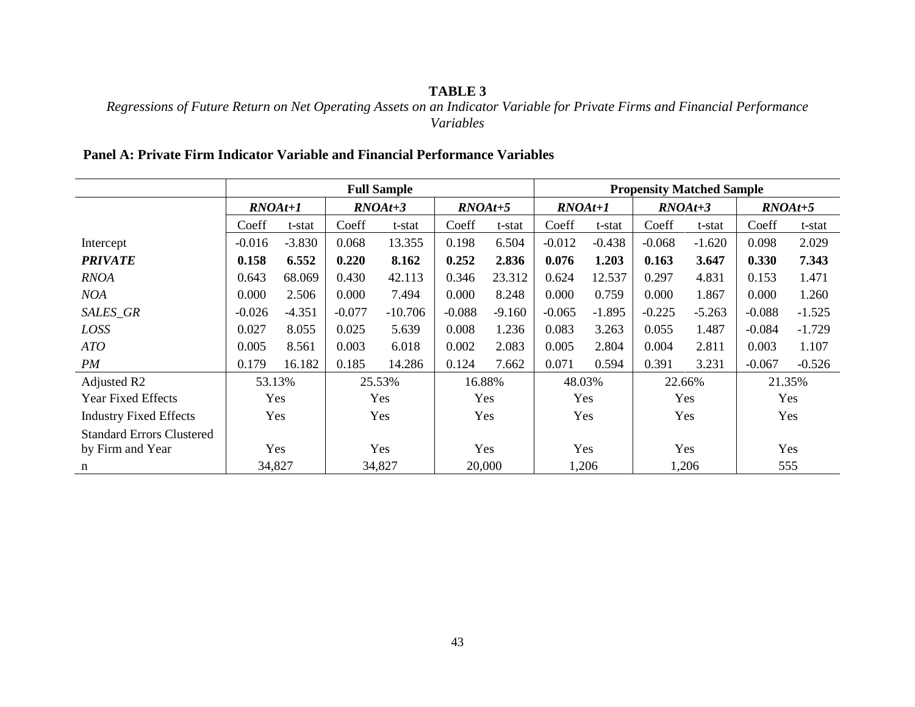# **TABLE 3**

# *Regressions of Future Return on Net Operating Assets on an Indicator Variable for Private Firms and Financial Performance Variables*

# **Panel A: Private Firm Indicator Variable and Financial Performance Variables**

|                                  |           |          |          | <b>Full Sample</b> |           |          | <b>Propensity Matched Sample</b> |          |          |           |          |           |  |  |
|----------------------------------|-----------|----------|----------|--------------------|-----------|----------|----------------------------------|----------|----------|-----------|----------|-----------|--|--|
|                                  | $RNOAt+1$ |          |          | $RNOAt+3$          | $RNOAt+5$ |          | $RNOAt+1$                        |          |          | $RNOAt+3$ |          | $RNOAt+5$ |  |  |
|                                  | Coeff     | t-stat   | Coeff    | t-stat             | Coeff     | t-stat   | Coeff                            | t-stat   | Coeff    | t-stat    | Coeff    | t-stat    |  |  |
| Intercept                        | $-0.016$  | $-3.830$ | 0.068    | 13.355             | 0.198     | 6.504    | $-0.012$                         | $-0.438$ | $-0.068$ | $-1.620$  | 0.098    | 2.029     |  |  |
| <b>PRIVATE</b>                   | 0.158     | 6.552    | 0.220    | 8.162              | 0.252     | 2.836    | 0.076                            | 1.203    | 0.163    | 3.647     | 0.330    | 7.343     |  |  |
| <b>RNOA</b>                      | 0.643     | 68.069   | 0.430    | 42.113             | 0.346     | 23.312   | 0.624                            | 12.537   | 0.297    | 4.831     | 0.153    | 1.471     |  |  |
| <b>NOA</b>                       | 0.000     | 2.506    | 0.000    | 7.494              | 0.000     | 8.248    | 0.000                            | 0.759    | 0.000    | 1.867     | 0.000    | 1.260     |  |  |
| SALES_GR                         | $-0.026$  | $-4.351$ | $-0.077$ | $-10.706$          | $-0.088$  | $-9.160$ | $-0.065$                         | $-1.895$ | $-0.225$ | $-5.263$  | $-0.088$ | $-1.525$  |  |  |
| LOSS                             | 0.027     | 8.055    | 0.025    | 5.639              | 0.008     | 1.236    | 0.083                            | 3.263    | 0.055    | 1.487     | $-0.084$ | $-1.729$  |  |  |
| ATO                              | 0.005     | 8.561    | 0.003    | 6.018              | 0.002     | 2.083    | 0.005                            | 2.804    | 0.004    | 2.811     | 0.003    | 1.107     |  |  |
| PM                               | 0.179     | 16.182   | 0.185    | 14.286             | 0.124     | 7.662    | 0.071                            | 0.594    | 0.391    | 3.231     | $-0.067$ | $-0.526$  |  |  |
| Adjusted R2                      | 53.13%    |          |          | 25.53%             |           | 16.88%   | 48.03%                           |          | 22.66%   |           | 21.35%   |           |  |  |
| <b>Year Fixed Effects</b>        |           | Yes      |          | Yes                | Yes       |          |                                  | Yes      |          | Yes       |          | Yes       |  |  |
| <b>Industry Fixed Effects</b>    |           | Yes      |          | Yes                |           | Yes      |                                  | Yes      |          | Yes       |          | Yes       |  |  |
| <b>Standard Errors Clustered</b> |           |          |          |                    |           |          |                                  |          |          |           |          |           |  |  |
| by Firm and Year                 | Yes       |          | Yes      |                    | Yes       |          | Yes                              |          | Yes      |           | Yes      |           |  |  |
| n                                | 34,827    |          | 34,827   |                    | 20,000    |          | 1,206                            |          |          | 1,206     | 555      |           |  |  |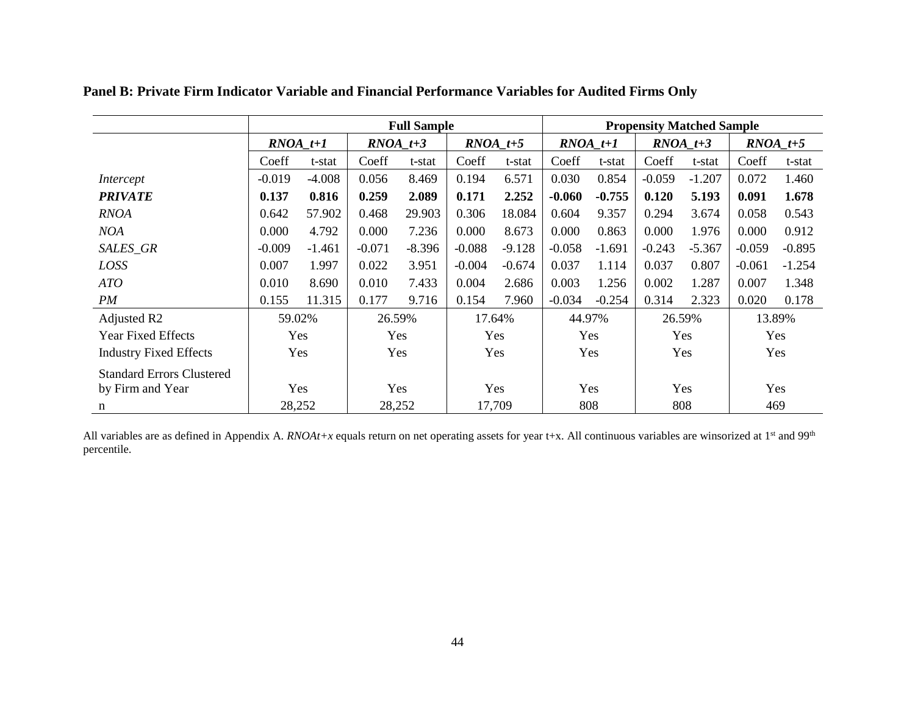|                                  |            |          |          | <b>Full Sample</b> |          |                         | <b>Propensity Matched Sample</b> |            |            |            |          |                         |  |
|----------------------------------|------------|----------|----------|--------------------|----------|-------------------------|----------------------------------|------------|------------|------------|----------|-------------------------|--|
|                                  | $RNOA_t+1$ |          |          | $RNOA_t+3$         |          | $\textit{RNOA}_{\_}t+5$ |                                  | $RNOA_t+1$ |            | $RNOA_t+3$ |          | $\textit{RNOA}_{\_}t+5$ |  |
|                                  | Coeff      | t-stat   | Coeff    | t-stat             | Coeff    | t-stat                  | Coeff                            | t-stat     | Coeff      | t-stat     | Coeff    | t-stat                  |  |
| Intercept                        | $-0.019$   | $-4.008$ | 0.056    | 8.469              | 0.194    | 6.571                   | 0.030                            | 0.854      | $-0.059$   | $-1.207$   | 0.072    | 1.460                   |  |
| <b>PRIVATE</b>                   | 0.137      | 0.816    | 0.259    | 2.089              | 0.171    | 2.252                   | $-0.060$                         | $-0.755$   | 0.120      | 5.193      | 0.091    | 1.678                   |  |
| RNOA                             | 0.642      | 57.902   | 0.468    | 29.903             | 0.306    | 18.084                  | 0.604                            | 9.357      | 0.294      | 3.674      | 0.058    | 0.543                   |  |
| <b>NOA</b>                       | 0.000      | 4.792    | 0.000    | 7.236              | 0.000    | 8.673                   | 0.000                            | 0.863      | 0.000      | 1.976      | 0.000    | 0.912                   |  |
| SALES_GR                         | $-0.009$   | $-1.461$ | $-0.071$ | $-8.396$           | $-0.088$ | $-9.128$                | $-0.058$                         | $-1.691$   | $-0.243$   | $-5.367$   | $-0.059$ | $-0.895$                |  |
| LOSS                             | 0.007      | 1.997    | 0.022    | 3.951              | $-0.004$ | $-0.674$                | 0.037                            | 1.114      | 0.037      | 0.807      | $-0.061$ | $-1.254$                |  |
| ATO                              | 0.010      | 8.690    | 0.010    | 7.433              | 0.004    | 2.686                   | 0.003                            | 1.256      | 0.002      | 1.287      | 0.007    | 1.348                   |  |
| PM                               | 0.155      | 11.315   | 0.177    | 9.716              | 0.154    | 7.960                   | $-0.034$                         | $-0.254$   | 0.314      | 2.323      | 0.020    | 0.178                   |  |
| Adjusted R2                      |            | 59.02%   |          | 26.59%             |          | 17.64%                  |                                  | 44.97%     |            | 26.59%     |          | 13.89%                  |  |
| <b>Year Fixed Effects</b>        |            | Yes      |          | Yes                |          | Yes                     |                                  | Yes        |            | <b>Yes</b> |          | Yes                     |  |
| <b>Industry Fixed Effects</b>    | Yes        |          |          | Yes                |          | Yes                     |                                  | Yes        |            | Yes        |          | Yes                     |  |
| <b>Standard Errors Clustered</b> |            |          |          |                    |          |                         |                                  |            |            |            |          |                         |  |
| by Firm and Year                 | Yes        |          | Yes      |                    | Yes      |                         | Yes                              |            | <b>Yes</b> |            |          | Yes                     |  |
| n                                |            | 28,252   |          | 28,252             |          | 17,709                  | 808                              |            |            | 808        | 469      |                         |  |

**Panel B: Private Firm Indicator Variable and Financial Performance Variables for Audited Firms Only**

All variables are as defined in Appendix A. *RNOAt+x* equals return on net operating assets for year t+x. All continuous variables are winsorized at 1<sup>st</sup> and 99<sup>th</sup> percentile.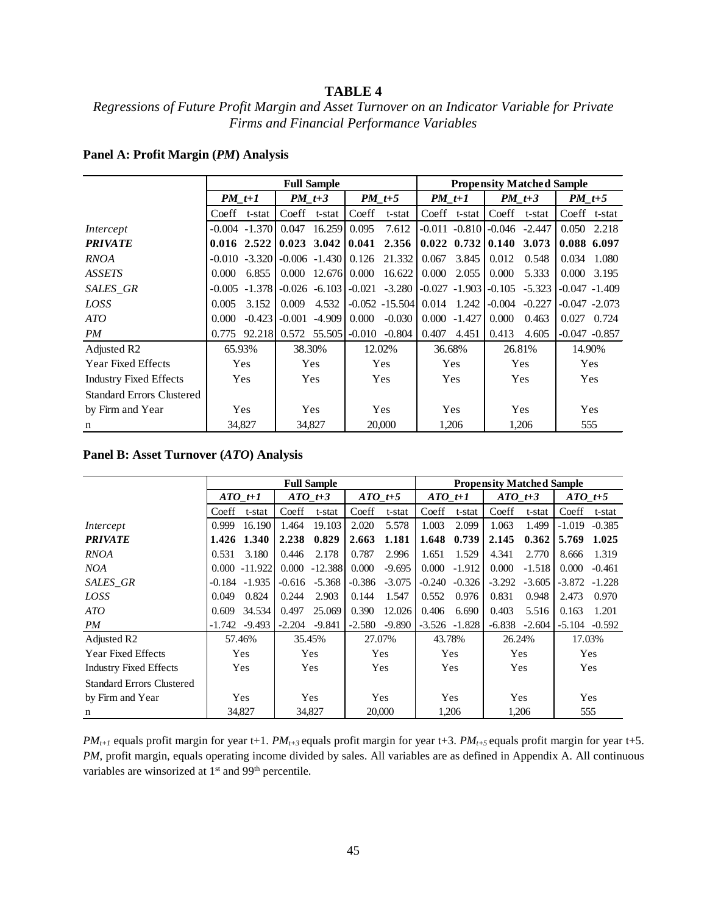### **TABLE 4**

### *Regressions of Future Profit Margin and Asset Turnover on an Indicator Variable for Private Firms and Financial Performance Variables*

|                                  |               |                                     |          | <b>Full Sample</b>          |            |                                                       |          |                                  |            | <b>Propensity Matched Sample</b> |                     |                  |  |
|----------------------------------|---------------|-------------------------------------|----------|-----------------------------|------------|-------------------------------------------------------|----------|----------------------------------|------------|----------------------------------|---------------------|------------------|--|
|                                  | $PM$ t+1      |                                     | $PM$ t+3 |                             |            | $PM$ t+5                                              | $PM$ t+1 |                                  |            | $PM$ t+3                         | $PM_t+5$            |                  |  |
|                                  | Coeff         | t-stat                              | Coeff    | t-stat                      | Coeff      | t-stat                                                |          | Coeff t-stat                     | Coeff      | t-stat                           |                     | Coeff t-stat     |  |
| Intercept                        |               | $-0.004 -1.370$                     | 0.047    | 16.259                      | 0.095      | 7.612                                                 |          | $-0.011 - 0.810 - 0.046 - 2.447$ |            |                                  | 0.050 2.218         |                  |  |
| <b>PRIVATE</b>                   | $0.016$ 2.522 |                                     |          | $0.023$ 3.042 $\mid 0.041$  |            | $2.356$   0.022 0.732   0.140 3.073                   |          |                                  |            |                                  | 0.088 6.097         |                  |  |
| <b>RNOA</b>                      |               | $-0.010 -3.320$                     |          | $-0.006 - 1.430$            | 0.126      | 21.332                                                | 0.067    | 3.845                            | 0.012      | 0.548                            | 0.034               | 1.080            |  |
| <b>ASSETS</b>                    | 0.000         | 6.855                               |          | 0.000 12.676                | 0.000      | 16.622                                                | 0.000    | 2.055                            | 0.000      | 5.333                            | $0.000 \quad 3.195$ |                  |  |
| SALES_GR                         |               | $-0.005$ $-1.378$ $-0.026$ $-6.103$ |          |                             |            | $-0.021$ $-3.280$ $-0.027$ $-1.903$ $-0.105$ $-5.323$ |          |                                  |            |                                  |                     | $-0.047 - 1.409$ |  |
| LOSS                             | 0.005         | 3.152                               | 0.009    | 4.532                       |            | $-0.052 -15.504$   0.014 1.242                        |          |                                  | $-0.004$   | $-0.227$                         |                     | $-0.047 - 2.073$ |  |
| ATO                              | 0.000         | $-0.423$                            | $-0.001$ | $-4.909$                    | 0.000      | $-0.030$                                              |          | $0.000 -1.427$                   | 0.000      | 0.463                            | $0.027$ $0.724$     |                  |  |
| PM                               | 0.775         |                                     |          | 92.218 0.572 55.505 - 0.010 |            | $-0.804$                                              | 0.407    | 4.451                            | 0.413      | 4.605                            |                     | $-0.047 - 0.857$ |  |
| Adjusted R <sub>2</sub>          | 65.93%        |                                     | 38.30%   |                             |            | 12.02%                                                | 36.68%   |                                  |            | 26.81%                           | 14.90%              |                  |  |
| <b>Year Fixed Effects</b>        |               | Yes                                 |          | <b>Yes</b>                  |            | Yes                                                   |          | Yes                              |            | <b>Yes</b>                       |                     | Yes              |  |
| <b>Industry Fixed Effects</b>    | Yes           |                                     |          | Yes                         |            | Yes                                                   |          | Yes                              |            | Yes                              |                     | Yes              |  |
| <b>Standard Errors Clustered</b> |               |                                     |          |                             |            |                                                       |          |                                  |            |                                  |                     |                  |  |
| by Firm and Year                 | Yes           |                                     | Yes      |                             | <b>Yes</b> |                                                       | Yes      |                                  | <b>Yes</b> |                                  |                     | Yes              |  |
| n                                |               | 34,827                              |          | 34,827                      |            | 20,000                                                |          | 1,206                            |            | 1,206                            |                     | 555              |  |

#### **Panel A: Profit Margin (***PM***) Analysis**

#### **Panel B: Asset Turnover (***ATO***) Analysis**

|                                  |          |                  |          | <b>Full Sample</b> |           |          | <b>Propensity Matched Sample</b> |          |           |          |             |          |  |  |
|----------------------------------|----------|------------------|----------|--------------------|-----------|----------|----------------------------------|----------|-----------|----------|-------------|----------|--|--|
|                                  |          | $ATO$ t+1        |          | $ATO$ t+3          | $ATO$ t+5 |          | $ATO$ t+1                        |          | ATO $t+3$ |          | ATO $t+5$   |          |  |  |
|                                  | Coeff    | t-stat           | Coeff    | t-stat             | Coeff     | t-stat   | Coeff                            | t-stat   | Coeff     | t-stat   | Coeff       | t-stat   |  |  |
| Intercept                        | 0.999    | 16.190           | 1.464    | 19.103             | 2.020     | 5.578    | 1.003                            | 2.099    | 1.063     | 1.499    | $-1.019$    | $-0.385$ |  |  |
| <b>PRIVATE</b>                   |          | 1.426 1.340      | 2.238    | 0.829              | 2.663     | 1.181    | 1.648                            | 0.739    | 2.145     | 0.362    | 5.769 1.025 |          |  |  |
| <b>RNOA</b>                      | 0.531    | 3.180            | 0.446    | 2.178              | 0.787     | 2.996    | 1.651                            | 1.529    | 4.341     | 2.770    | 8.666       | 1.319    |  |  |
| NOA                              |          | $0.000 - 11.922$ | 0.000    | $-12.388$          | 0.000     | $-9.695$ | 0.000                            | $-1.912$ | 0.000     | $-1.518$ | 0.000       | $-0.461$ |  |  |
| SALES_GR                         |          | $-0.184 - 1.935$ | $-0.616$ | $-5.368$           | $-0.386$  | $-3.075$ | $-0.240$                         | $-0.326$ | $-3.292$  | $-3.605$ | $-3.872$    | $-1.228$ |  |  |
| LOSS                             | 0.049    | 0.824            | 0.244    | 2.903              | 0.144     | 1.547    | 0.552                            | 0.976    | 0.831     | 0.948    | 2.473       | 0.970    |  |  |
| ATO                              | 0.609    | 34.534           | 0.497    | 25.069             | 0.390     | 12.026   | 0.406                            | 6.690    | 0.403     | 5.516    | 0.163       | 1.201    |  |  |
| PM                               | $-1.742$ | $-9.493$         | $-2.204$ | $-9.841$           | $-2.580$  | $-9.890$ | $-3.526$                         | $-1.828$ | $-6.838$  | $-2.604$ | $-5.104$    | $-0.592$ |  |  |
| Adjusted R <sub>2</sub>          |          | 57.46%           |          | 35.45%             |           | 27.07%   | 43.78%                           |          | 26.24%    |          | 17.03%      |          |  |  |
| <b>Year Fixed Effects</b>        |          | Yes              |          | Yes                |           | Yes      |                                  | Yes      | Yes       |          |             | Yes      |  |  |
| <b>Industry Fixed Effects</b>    | Yes      |                  |          | Yes                |           | Yes      |                                  | Yes      | Yes       |          |             | Yes      |  |  |
| <b>Standard Errors Clustered</b> |          |                  |          |                    |           |          |                                  |          |           |          |             |          |  |  |
| by Firm and Year                 | Yes      |                  | Yes      |                    | Yes       |          | Yes                              |          | Yes       |          |             | Yes      |  |  |
| n                                |          | 34,827           |          | 34,827             | 20,000    |          | 1,206                            |          | 1,206     |          | 555         |          |  |  |

*PMt+1* equals profit margin for year t+1. *PMt+3* equals profit margin for year t+3. *PMt+5* equals profit margin for year t+5. *PM*, profit margin, equals operating income divided by sales. All variables are as defined in Appendix A. All continuous variables are winsorized at 1<sup>st</sup> and 99<sup>th</sup> percentile.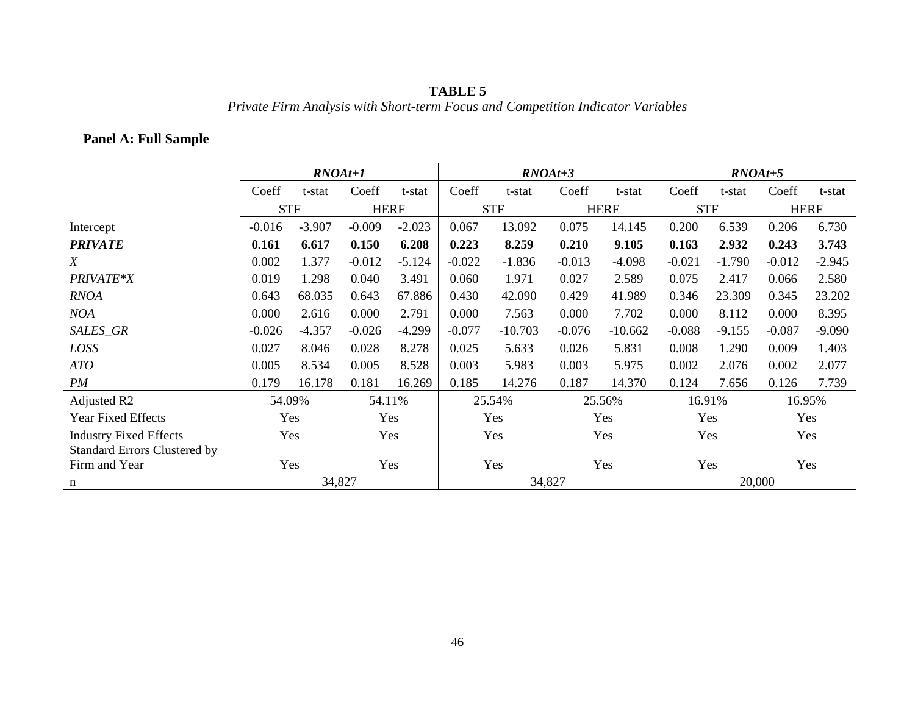# **TABLE 5** *Private Firm Analysis with Short-term Focus and Competition Indicator Variables*

# **Panel A: Full Sample**

|                                     |          | $RNOAt+1$  |          |             |          |            | $RNOAt+3$ |             |          | $RNOAt+5$  |          |             |
|-------------------------------------|----------|------------|----------|-------------|----------|------------|-----------|-------------|----------|------------|----------|-------------|
|                                     | Coeff    | t-stat     | Coeff    | t-stat      | Coeff    | t-stat     | Coeff     | t-stat      | Coeff    | t-stat     | Coeff    | t-stat      |
|                                     |          | <b>STF</b> |          | <b>HERF</b> |          | <b>STF</b> |           | <b>HERF</b> |          | <b>STF</b> |          | <b>HERF</b> |
| Intercept                           | $-0.016$ | $-3.907$   | $-0.009$ | $-2.023$    | 0.067    | 13.092     | 0.075     | 14.145      | 0.200    | 6.539      | 0.206    | 6.730       |
| <b>PRIVATE</b>                      | 0.161    | 6.617      | 0.150    | 6.208       | 0.223    | 8.259      | 0.210     | 9.105       | 0.163    | 2.932      | 0.243    | 3.743       |
| X                                   | 0.002    | 1.377      | $-0.012$ | $-5.124$    | $-0.022$ | $-1.836$   | $-0.013$  | $-4.098$    | $-0.021$ | $-1.790$   | $-0.012$ | $-2.945$    |
| PRIVATE*X                           | 0.019    | 1.298      | 0.040    | 3.491       | 0.060    | 1.971      | 0.027     | 2.589       | 0.075    | 2.417      | 0.066    | 2.580       |
| <b>RNOA</b>                         | 0.643    | 68.035     | 0.643    | 67.886      | 0.430    | 42.090     | 0.429     | 41.989      | 0.346    | 23.309     | 0.345    | 23.202      |
| <b>NOA</b>                          | 0.000    | 2.616      | 0.000    | 2.791       | 0.000    | 7.563      | 0.000     | 7.702       | 0.000    | 8.112      | 0.000    | 8.395       |
| SALES_GR                            | $-0.026$ | $-4.357$   | $-0.026$ | $-4.299$    | $-0.077$ | $-10.703$  | $-0.076$  | $-10.662$   | $-0.088$ | $-9.155$   | $-0.087$ | $-9.090$    |
| LOSS                                | 0.027    | 8.046      | 0.028    | 8.278       | 0.025    | 5.633      | 0.026     | 5.831       | 0.008    | 1.290      | 0.009    | 1.403       |
| ATO                                 | 0.005    | 8.534      | 0.005    | 8.528       | 0.003    | 5.983      | 0.003     | 5.975       | 0.002    | 2.076      | 0.002    | 2.077       |
| PM                                  | 0.179    | 16.178     | 0.181    | 16.269      | 0.185    | 14.276     | 0.187     | 14.370      | 0.124    | 7.656      | 0.126    | 7.739       |
| Adjusted R2                         |          | 54.09%     |          | 54.11%      |          | 25.54%     |           | 25.56%      |          | 16.91%     |          | 16.95%      |
| <b>Year Fixed Effects</b>           |          | Yes        |          | Yes         |          | Yes        |           | Yes         |          | Yes        |          | Yes         |
| <b>Industry Fixed Effects</b>       | Yes      |            |          | Yes         |          | Yes        |           | Yes         |          | Yes        |          | Yes         |
| <b>Standard Errors Clustered by</b> |          |            |          |             |          |            |           |             |          |            |          |             |
| Firm and Year                       | Yes      |            |          | Yes         | Yes      |            |           | Yes         | Yes      |            |          | Yes         |
| n                                   |          | 34,827     |          |             |          |            | 34,827    |             |          | 20,000     |          |             |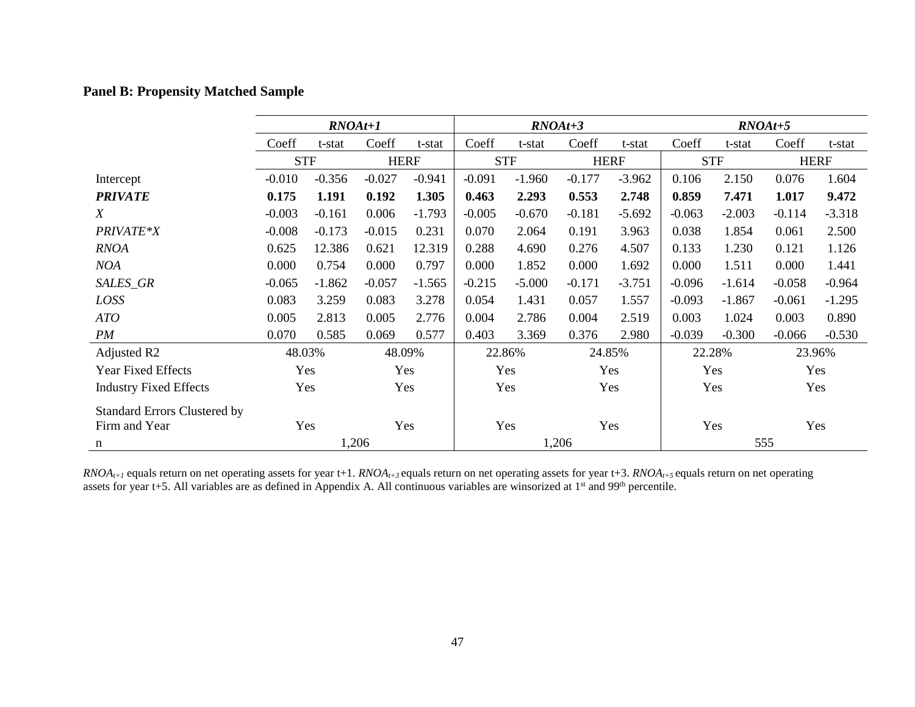# **Panel B: Propensity Matched Sample**

|                                     | $RNOAt+1$  |          |             |          | $RNOAt+3$  |          |             |          | $RNOAt+5$  |          |             |          |
|-------------------------------------|------------|----------|-------------|----------|------------|----------|-------------|----------|------------|----------|-------------|----------|
|                                     | Coeff      | t-stat   | Coeff       | t-stat   | Coeff      | t-stat   | Coeff       | t-stat   | Coeff      | t-stat   | Coeff       | t-stat   |
|                                     | <b>STF</b> |          | <b>HERF</b> |          | <b>STF</b> |          | <b>HERF</b> |          | <b>STF</b> |          | <b>HERF</b> |          |
| Intercept                           | $-0.010$   | $-0.356$ | $-0.027$    | $-0.941$ | $-0.091$   | $-1.960$ | $-0.177$    | $-3.962$ | 0.106      | 2.150    | 0.076       | 1.604    |
| <b>PRIVATE</b>                      | 0.175      | 1.191    | 0.192       | 1.305    | 0.463      | 2.293    | 0.553       | 2.748    | 0.859      | 7.471    | 1.017       | 9.472    |
| X                                   | $-0.003$   | $-0.161$ | 0.006       | $-1.793$ | $-0.005$   | $-0.670$ | $-0.181$    | $-5.692$ | $-0.063$   | $-2.003$ | $-0.114$    | $-3.318$ |
| PRIVATE*X                           | $-0.008$   | $-0.173$ | $-0.015$    | 0.231    | 0.070      | 2.064    | 0.191       | 3.963    | 0.038      | 1.854    | 0.061       | 2.500    |
| <b>RNOA</b>                         | 0.625      | 12.386   | 0.621       | 12.319   | 0.288      | 4.690    | 0.276       | 4.507    | 0.133      | 1.230    | 0.121       | 1.126    |
| <b>NOA</b>                          | 0.000      | 0.754    | 0.000       | 0.797    | 0.000      | 1.852    | 0.000       | 1.692    | 0.000      | 1.511    | 0.000       | 1.441    |
| SALES_GR                            | $-0.065$   | $-1.862$ | $-0.057$    | $-1.565$ | $-0.215$   | $-5.000$ | $-0.171$    | $-3.751$ | $-0.096$   | $-1.614$ | $-0.058$    | $-0.964$ |
| LOSS                                | 0.083      | 3.259    | 0.083       | 3.278    | 0.054      | 1.431    | 0.057       | 1.557    | $-0.093$   | $-1.867$ | $-0.061$    | $-1.295$ |
| ATO                                 | 0.005      | 2.813    | 0.005       | 2.776    | 0.004      | 2.786    | 0.004       | 2.519    | 0.003      | 1.024    | 0.003       | 0.890    |
| PM                                  | 0.070      | 0.585    | 0.069       | 0.577    | 0.403      | 3.369    | 0.376       | 2.980    | $-0.039$   | $-0.300$ | $-0.066$    | $-0.530$ |
| Adjusted R <sub>2</sub>             | 48.03%     |          | 48.09%      |          | 22.86%     |          | 24.85%      |          | 22.28%     |          | 23.96%      |          |
| <b>Year Fixed Effects</b>           | Yes        |          | Yes         |          | Yes        |          | Yes         |          | Yes        |          | Yes         |          |
| <b>Industry Fixed Effects</b>       | Yes        |          | Yes         |          | Yes        |          | Yes         |          | Yes        |          | Yes         |          |
| <b>Standard Errors Clustered by</b> |            |          |             |          |            |          |             |          |            |          |             |          |
| Firm and Year                       |            | Yes      |             | Yes      |            | Yes      |             | Yes      |            | Yes      |             | Yes      |
| n                                   | 1,206      |          |             |          | 1,206      |          |             |          | 555        |          |             |          |

 $RNOA_{t+1}$  equals return on net operating assets for year t+1.  $RNOA_{t+3}$  equals return on net operating assets for year t+3.  $RNOA_{t+5}$  equals return on net operating assets for year t+5. All variables are as defined in Appendix A. All continuous variables are winsorized at 1<sup>st</sup> and 99<sup>th</sup> percentile.